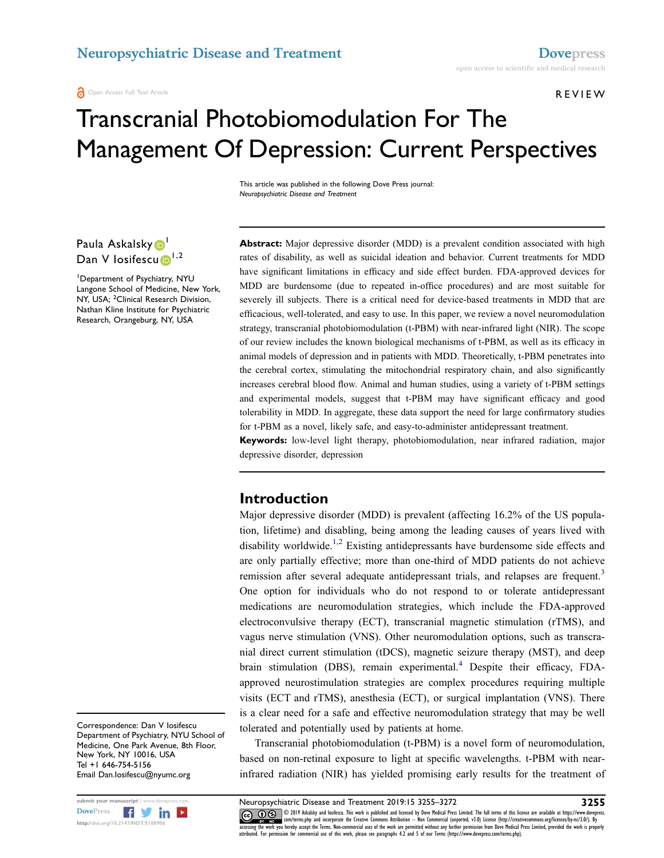**A** Open Access Full Text Article

REVIEW

# Transcranial Photobiomodulation For The Management Of Depression: Current Perspectives

This article was published in the following Dove Press journal: Neuropsychiatric Disease and Treatment

Paula Askalsky D Dan V losifescu $\mathbf{D}^{1,2}$ 

1 Department of Psychiatry, NYU Langone School of Medicine, New York, NY, USA; <sup>2</sup>Clinical Research Division, Nathan Kline Institute for Psychiatric Research, Orangeburg, NY, USA

Abstract: Major depressive disorder (MDD) is a prevalent condition associated with high rates of disability, as well as suicidal ideation and behavior. Current treatments for MDD have significant limitations in efficacy and side effect burden. FDA-approved devices for MDD are burdensome (due to repeated in-office procedures) and are most suitable for severely ill subjects. There is a critical need for device-based treatments in MDD that are efficacious, well-tolerated, and easy to use. In this paper, we review a novel neuromodulation strategy, transcranial photobiomodulation (t-PBM) with near-infrared light (NIR). The scope of our review includes the known biological mechanisms of t-PBM, as well as its efficacy in animal models of depression and in patients with MDD. Theoretically, t-PBM penetrates into the cerebral cortex, stimulating the mitochondrial respiratory chain, and also significantly increases cerebral blood flow. Animal and human studies, using a variety of t-PBM settings and experimental models, suggest that t-PBM may have significant efficacy and good tolerability in MDD. In aggregate, these data support the need for large confirmatory studies for t-PBM as a novel, likely safe, and easy-to-administer antidepressant treatment.

Keywords: low-level light therapy, photobiomodulation, near infrared radiation, major depressive disorder, depression

### Introduction

Major depressive disorder (MDD) is prevalent (affecting 16.2% of the US population, lifetime) and disabling, being among the leading causes of years lived with disability worldwide.<sup>1,2</sup> Existing antidepressants have burdensome side effects and are only partially effective; more than one-third of MDD patients do not achieve remission after several adequate antidepressant trials, and relapses are frequent.<sup>3</sup> One option for individuals who do not respond to or tolerate antidepressant medications are neuromodulation strategies, which include the FDA-approved electroconvulsive therapy (ECT), transcranial magnetic stimulation (rTMS), and vagus nerve stimulation (VNS). Other neuromodulation options, such as transcranial direct current stimulation (tDCS), magnetic seizure therapy (MST), and deep brain stimulation (DBS), remain experimental.<sup>4</sup> Despite their efficacy, FDAapproved neurostimulation strategies are complex procedures requiring multiple visits (ECT and rTMS), anesthesia (ECT), or surgical implantation (VNS). There is a clear need for a safe and effective neuromodulation strategy that may be well tolerated and potentially used by patients at home.

Transcranial photobiomodulation (t-PBM) is a novel form of neuromodulation, based on non-retinal exposure to light at specific wavelengths. t-PBM with nearinfrared radiation (NIR) has yielded promising early results for the treatment of

Correspondence: Dan V Iosifescu Department of Psychiatry, NYU School of Medicine, One Park Avenue, 8th Floor, New York, NY 10016, USA Tel +1 646-754-5156 Email Dan.Iosifescu@nyumc.org

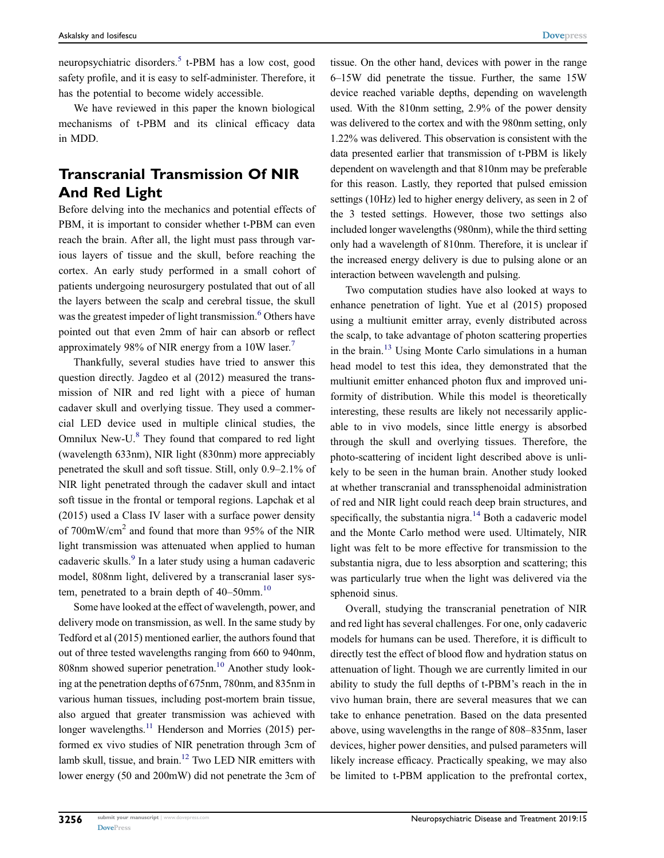neuropsychiatric disorders.<sup>5</sup> t-PBM has a low cost, good safety profile, and it is easy to self-administer. Therefore, it has the potential to become widely accessible.

We have reviewed in this paper the known biological mechanisms of t-PBM and its clinical efficacy data in MDD.

# Transcranial Transmission Of NIR And Red Light

Before delving into the mechanics and potential effects of PBM, it is important to consider whether t-PBM can even reach the brain. After all, the light must pass through various layers of tissue and the skull, before reaching the cortex. An early study performed in a small cohort of patients undergoing neurosurgery postulated that out of all the layers between the scalp and cerebral tissue, the skull was the greatest impeder of light transmission.<sup>6</sup> Others have pointed out that even 2mm of hair can absorb or reflect approximately 98% of NIR energy from a 10W laser.<sup>7</sup>

Thankfully, several studies have tried to answer this question directly. Jagdeo et al (2012) measured the transmission of NIR and red light with a piece of human cadaver skull and overlying tissue. They used a commercial LED device used in multiple clinical studies, the Omnilux New-U.<sup>8</sup> They found that compared to red light (wavelength 633nm), NIR light (830nm) more appreciably penetrated the skull and soft tissue. Still, only 0.9–2.1% of NIR light penetrated through the cadaver skull and intact soft tissue in the frontal or temporal regions. Lapchak et al (2015) used a Class IV laser with a surface power density of 700mW/cm<sup>2</sup> and found that more than 95% of the NIR light transmission was attenuated when applied to human cadaveric skulls.<sup>9</sup> In a later study using a human cadaveric model, 808nm light, delivered by a transcranial laser system, penetrated to a brain depth of  $40-50$ mm.<sup>10</sup>

Some have looked at the effect of wavelength, power, and delivery mode on transmission, as well. In the same study by Tedford et al (2015) mentioned earlier, the authors found that out of three tested wavelengths ranging from 660 to 940nm, 808nm showed superior penetration.<sup>10</sup> Another study looking at the penetration depths of 675nm, 780nm, and 835nm in various human tissues, including post-mortem brain tissue, also argued that greater transmission was achieved with longer wavelengths.<sup>11</sup> Henderson and Morries (2015) performed ex vivo studies of NIR penetration through 3cm of lamb skull, tissue, and brain.<sup>12</sup> Two LED NIR emitters with lower energy (50 and 200mW) did not penetrate the 3cm of tissue. On the other hand, devices with power in the range 6–15W did penetrate the tissue. Further, the same 15W device reached variable depths, depending on wavelength used. With the 810nm setting, 2.9% of the power density was delivered to the cortex and with the 980nm setting, only 1.22% was delivered. This observation is consistent with the data presented earlier that transmission of t-PBM is likely dependent on wavelength and that 810nm may be preferable for this reason. Lastly, they reported that pulsed emission settings (10Hz) led to higher energy delivery, as seen in 2 of the 3 tested settings. However, those two settings also included longer wavelengths (980nm), while the third setting only had a wavelength of 810nm. Therefore, it is unclear if the increased energy delivery is due to pulsing alone or an interaction between wavelength and pulsing.

Two computation studies have also looked at ways to enhance penetration of light. Yue et al (2015) proposed using a multiunit emitter array, evenly distributed across the scalp, to take advantage of photon scattering properties in the brain.13 Using Monte Carlo simulations in a human head model to test this idea, they demonstrated that the multiunit emitter enhanced photon flux and improved uniformity of distribution. While this model is theoretically interesting, these results are likely not necessarily applicable to in vivo models, since little energy is absorbed through the skull and overlying tissues. Therefore, the photo-scattering of incident light described above is unlikely to be seen in the human brain. Another study looked at whether transcranial and transsphenoidal administration of red and NIR light could reach deep brain structures, and specifically, the substantia nigra. $14$  Both a cadaveric model and the Monte Carlo method were used. Ultimately, NIR light was felt to be more effective for transmission to the substantia nigra, due to less absorption and scattering; this was particularly true when the light was delivered via the sphenoid sinus.

Overall, studying the transcranial penetration of NIR and red light has several challenges. For one, only cadaveric models for humans can be used. Therefore, it is difficult to directly test the effect of blood flow and hydration status on attenuation of light. Though we are currently limited in our ability to study the full depths of t-PBM's reach in the in vivo human brain, there are several measures that we can take to enhance penetration. Based on the data presented above, using wavelengths in the range of 808–835nm, laser devices, higher power densities, and pulsed parameters will likely increase efficacy. Practically speaking, we may also be limited to t-PBM application to the prefrontal cortex,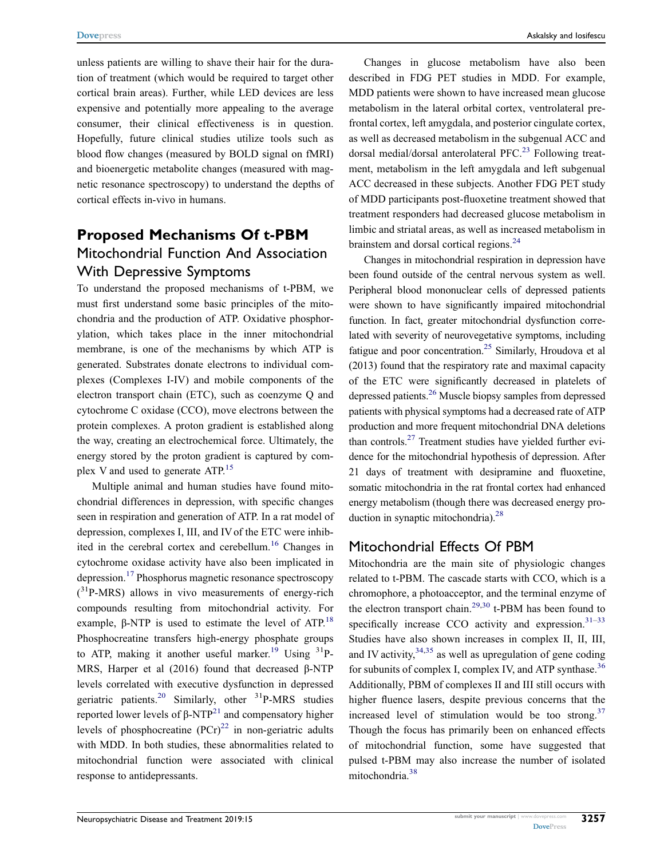unless patients are willing to shave their hair for the duration of treatment (which would be required to target other cortical brain areas). Further, while LED devices are less expensive and potentially more appealing to the average consumer, their clinical effectiveness is in question. Hopefully, future clinical studies utilize tools such as blood flow changes (measured by BOLD signal on fMRI) and bioenergetic metabolite changes (measured with magnetic resonance spectroscopy) to understand the depths of cortical effects in-vivo in humans.

# Proposed Mechanisms Of t-PBM Mitochondrial Function And Association With Depressive Symptoms

To understand the proposed mechanisms of t-PBM, we must first understand some basic principles of the mitochondria and the production of ATP. Oxidative phosphorylation, which takes place in the inner mitochondrial membrane, is one of the mechanisms by which ATP is generated. Substrates donate electrons to individual complexes (Complexes I-IV) and mobile components of the electron transport chain (ETC), such as coenzyme Q and cytochrome C oxidase (CCO), move electrons between the protein complexes. A proton gradient is established along the way, creating an electrochemical force. Ultimately, the energy stored by the proton gradient is captured by complex V and used to generate ATP.<sup>15</sup>

Multiple animal and human studies have found mitochondrial differences in depression, with specific changes seen in respiration and generation of ATP. In a rat model of depression, complexes I, III, and IV of the ETC were inhibited in the cerebral cortex and cerebellum.<sup>16</sup> Changes in cytochrome oxidase activity have also been implicated in depression.<sup>17</sup> Phosphorus magnetic resonance spectroscopy  $(^{31}P-MRS)$  allows in vivo measurements of energy-rich compounds resulting from mitochondrial activity. For example, β-NTP is used to estimate the level of ATP.<sup>18</sup> Phosphocreatine transfers high-energy phosphate groups to ATP, making it another useful marker.<sup>19</sup> Using  $3^{31}P$ -MRS, Harper et al (2016) found that decreased β-NTP levels correlated with executive dysfunction in depressed geriatric patients.<sup>20</sup> Similarly, other  $31P-MRS$  studies reported lower levels of  $β$ -NTP<sup>21</sup> and compensatory higher levels of phosphocreatine  $(PCr)^{22}$  in non-geriatric adults with MDD. In both studies, these abnormalities related to mitochondrial function were associated with clinical response to antidepressants.

Changes in glucose metabolism have also been described in FDG PET studies in MDD. For example, MDD patients were shown to have increased mean glucose metabolism in the lateral orbital cortex, ventrolateral prefrontal cortex, left amygdala, and posterior cingulate cortex, as well as decreased metabolism in the subgenual ACC and dorsal medial/dorsal anterolateral  $PFC<sup>23</sup>$  Following treatment, metabolism in the left amygdala and left subgenual ACC decreased in these subjects. Another FDG PET study of MDD participants post-fluoxetine treatment showed that treatment responders had decreased glucose metabolism in limbic and striatal areas, as well as increased metabolism in brainstem and dorsal cortical regions.<sup>24</sup>

Changes in mitochondrial respiration in depression have been found outside of the central nervous system as well. Peripheral blood mononuclear cells of depressed patients were shown to have significantly impaired mitochondrial function. In fact, greater mitochondrial dysfunction correlated with severity of neurovegetative symptoms, including fatigue and poor concentration.<sup>25</sup> Similarly, Hroudova et al (2013) found that the respiratory rate and maximal capacity of the ETC were significantly decreased in platelets of depressed patients.26 Muscle biopsy samples from depressed patients with physical symptoms had a decreased rate of ATP production and more frequent mitochondrial DNA deletions than controls.27 Treatment studies have yielded further evidence for the mitochondrial hypothesis of depression. After 21 days of treatment with desipramine and fluoxetine, somatic mitochondria in the rat frontal cortex had enhanced energy metabolism (though there was decreased energy production in synaptic mitochondria).<sup>28</sup>

### Mitochondrial Effects Of PBM

Mitochondria are the main site of physiologic changes related to t-PBM. The cascade starts with CCO, which is a chromophore, a photoacceptor, and the terminal enzyme of the electron transport chain.<sup>29,30</sup> t-PBM has been found to specifically increase CCO activity and expression. $31-33$ Studies have also shown increases in complex II, II, III, and IV activity,  $34,35$  as well as upregulation of gene coding for subunits of complex I, complex IV, and ATP synthase.<sup>36</sup> Additionally, PBM of complexes II and III still occurs with higher fluence lasers, despite previous concerns that the increased level of stimulation would be too strong.<sup>37</sup> Though the focus has primarily been on enhanced effects of mitochondrial function, some have suggested that pulsed t-PBM may also increase the number of isolated mitochondria.<sup>38</sup>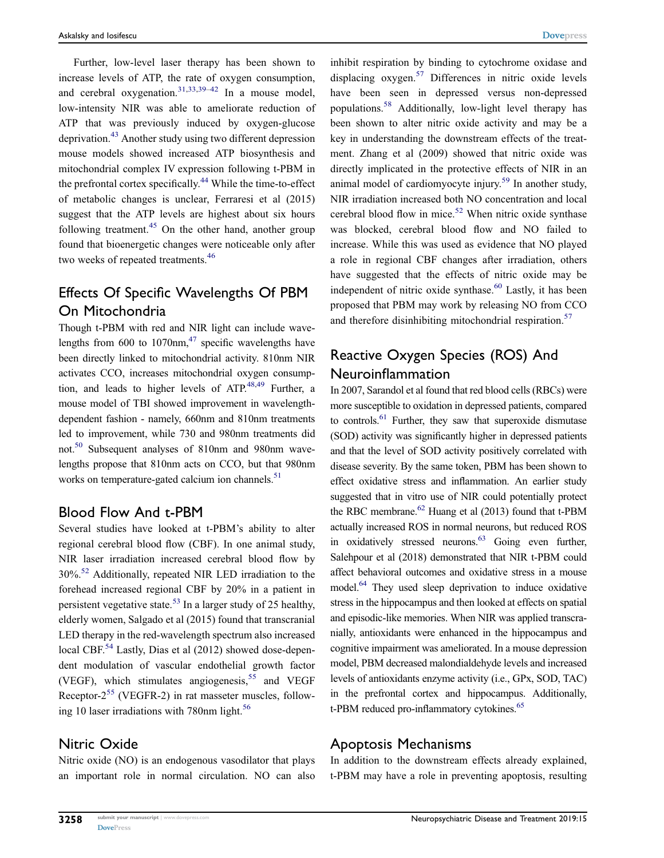Further, low-level laser therapy has been shown to increase levels of ATP, the rate of oxygen consumption, and cerebral oxygenation.<sup>31,33,39–42</sup> In a mouse model, low-intensity NIR was able to ameliorate reduction of ATP that was previously induced by oxygen-glucose deprivation.<sup>43</sup> Another study using two different depression mouse models showed increased ATP biosynthesis and mitochondrial complex IV expression following t-PBM in the prefrontal cortex specifically.<sup>44</sup> While the time-to-effect of metabolic changes is unclear, Ferraresi et al (2015) suggest that the ATP levels are highest about six hours following treatment.<sup>45</sup> On the other hand, another group found that bioenergetic changes were noticeable only after two weeks of repeated treatments.<sup>46</sup>

# Effects Of Specific Wavelengths Of PBM On Mitochondria

Though t-PBM with red and NIR light can include wavelengths from 600 to 1070 $nm<sub>1</sub><sup>47</sup>$  specific wavelengths have been directly linked to mitochondrial activity. 810nm NIR activates CCO, increases mitochondrial oxygen consumption, and leads to higher levels of  $ATP<sup>48,49</sup>$  Further, a mouse model of TBI showed improvement in wavelengthdependent fashion - namely, 660nm and 810nm treatments led to improvement, while 730 and 980nm treatments did not.50 Subsequent analyses of 810nm and 980nm wavelengths propose that 810nm acts on CCO, but that 980nm works on temperature-gated calcium ion channels.<sup>51</sup>

### Blood Flow And t-PBM

Several studies have looked at t-PBM's ability to alter regional cerebral blood flow (CBF). In one animal study, NIR laser irradiation increased cerebral blood flow by 30%.52 Additionally, repeated NIR LED irradiation to the forehead increased regional CBF by 20% in a patient in persistent vegetative state.<sup>53</sup> In a larger study of 25 healthy, elderly women, Salgado et al (2015) found that transcranial LED therapy in the red-wavelength spectrum also increased local CBF.<sup>54</sup> Lastly, Dias et al (2012) showed dose-dependent modulation of vascular endothelial growth factor (VEGF), which stimulates angiogenesis,<sup>55</sup> and VEGF Receptor- $2^{55}$  (VEGFR-2) in rat masseter muscles, following 10 laser irradiations with 780nm light.<sup>56</sup>

### Nitric Oxide

Nitric oxide (NO) is an endogenous vasodilator that plays an important role in normal circulation. NO can also inhibit respiration by binding to cytochrome oxidase and displacing  $oxygen.<sup>57</sup>$  Differences in nitric oxide levels have been seen in depressed versus non-depressed populations.<sup>58</sup> Additionally, low-light level therapy has been shown to alter nitric oxide activity and may be a key in understanding the downstream effects of the treatment. Zhang et al (2009) showed that nitric oxide was directly implicated in the protective effects of NIR in an animal model of cardiomyocyte injury.<sup>59</sup> In another study, NIR irradiation increased both NO concentration and local cerebral blood flow in mice.<sup>52</sup> When nitric oxide synthase was blocked, cerebral blood flow and NO failed to increase. While this was used as evidence that NO played a role in regional CBF changes after irradiation, others have suggested that the effects of nitric oxide may be independent of nitric oxide synthase.<sup>60</sup> Lastly, it has been proposed that PBM may work by releasing NO from CCO and therefore disinhibiting mitochondrial respiration.<sup>57</sup>

### Reactive Oxygen Species (ROS) And Neuroinflammation

In 2007, Sarandol et al found that red blood cells (RBCs) were more susceptible to oxidation in depressed patients, compared to controls.61 Further, they saw that superoxide dismutase (SOD) activity was significantly higher in depressed patients and that the level of SOD activity positively correlated with disease severity. By the same token, PBM has been shown to effect oxidative stress and inflammation. An earlier study suggested that in vitro use of NIR could potentially protect the RBC membrane. $62$  Huang et al (2013) found that t-PBM actually increased ROS in normal neurons, but reduced ROS in oxidatively stressed neurons.<sup>63</sup> Going even further, Salehpour et al (2018) demonstrated that NIR t-PBM could affect behavioral outcomes and oxidative stress in a mouse model.<sup>64</sup> They used sleep deprivation to induce oxidative stress in the hippocampus and then looked at effects on spatial and episodic-like memories. When NIR was applied transcranially, antioxidants were enhanced in the hippocampus and cognitive impairment was ameliorated. In a mouse depression model, PBM decreased malondialdehyde levels and increased levels of antioxidants enzyme activity (i.e., GPx, SOD, TAC) in the prefrontal cortex and hippocampus. Additionally, t-PBM reduced pro-inflammatory cytokines.<sup>65</sup>

### Apoptosis Mechanisms

In addition to the downstream effects already explained, t-PBM may have a role in preventing apoptosis, resulting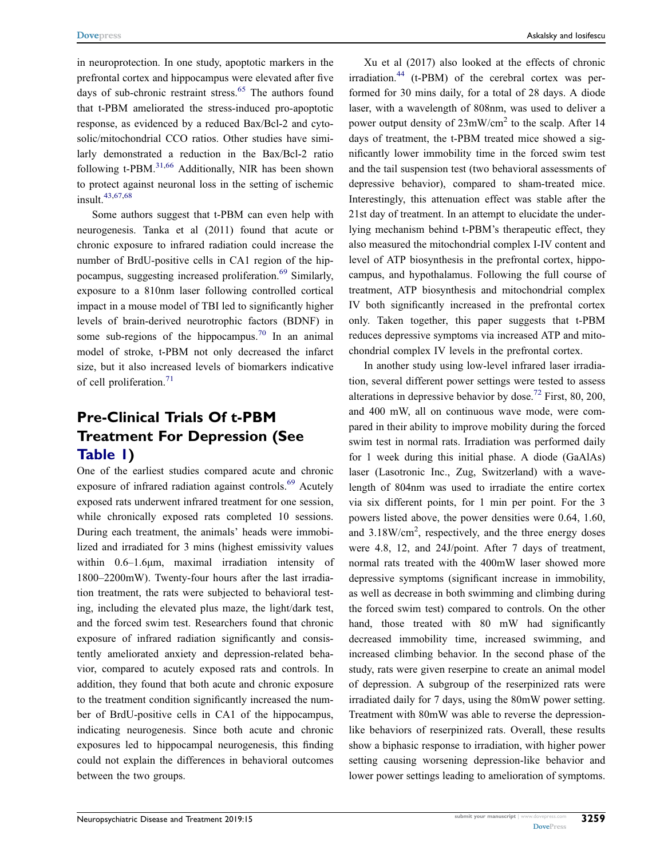in neuroprotection. In one study, apoptotic markers in the prefrontal cortex and hippocampus were elevated after five days of sub-chronic restraint stress.<sup>65</sup> The authors found that t-PBM ameliorated the stress-induced pro-apoptotic response, as evidenced by a reduced Bax/Bcl-2 and cytosolic/mitochondrial CCO ratios. Other studies have similarly demonstrated a reduction in the Bax/Bcl-2 ratio following  $t$ -PBM.<sup>31,66</sup> Additionally, NIR has been shown to protect against neuronal loss in the setting of ischemic insult.43,67,68

Some authors suggest that t-PBM can even help with neurogenesis. Tanka et al (2011) found that acute or chronic exposure to infrared radiation could increase the number of BrdU-positive cells in CA1 region of the hippocampus, suggesting increased proliferation.<sup>69</sup> Similarly, exposure to a 810nm laser following controlled cortical impact in a mouse model of TBI led to significantly higher levels of brain-derived neurotrophic factors (BDNF) in some sub-regions of the hippocampus.<sup>70</sup> In an animal model of stroke, t-PBM not only decreased the infarct size, but it also increased levels of biomarkers indicative of cell proliferation.<sup>71</sup>

# Pre-Clinical Trials Of t-PBM Treatment For Depression (See Table 1)

One of the earliest studies compared acute and chronic exposure of infrared radiation against controls.<sup>69</sup> Acutely exposed rats underwent infrared treatment for one session, while chronically exposed rats completed 10 sessions. During each treatment, the animals' heads were immobilized and irradiated for 3 mins (highest emissivity values within 0.6–1.6μm, maximal irradiation intensity of 1800–2200mW). Twenty-four hours after the last irradiation treatment, the rats were subjected to behavioral testing, including the elevated plus maze, the light/dark test, and the forced swim test. Researchers found that chronic exposure of infrared radiation significantly and consistently ameliorated anxiety and depression-related behavior, compared to acutely exposed rats and controls. In addition, they found that both acute and chronic exposure to the treatment condition significantly increased the number of BrdU-positive cells in CA1 of the hippocampus, indicating neurogenesis. Since both acute and chronic exposures led to hippocampal neurogenesis, this finding could not explain the differences in behavioral outcomes between the two groups.

Xu et al (2017) also looked at the effects of chronic  $irradiation.<sup>44</sup>$  (t-PBM) of the cerebral cortex was performed for 30 mins daily, for a total of 28 days. A diode laser, with a wavelength of 808nm, was used to deliver a power output density of 23mW/cm<sup>2</sup> to the scalp. After 14 days of treatment, the t-PBM treated mice showed a significantly lower immobility time in the forced swim test and the tail suspension test (two behavioral assessments of depressive behavior), compared to sham-treated mice. Interestingly, this attenuation effect was stable after the 21st day of treatment. In an attempt to elucidate the underlying mechanism behind t-PBM's therapeutic effect, they also measured the mitochondrial complex I-IV content and level of ATP biosynthesis in the prefrontal cortex, hippocampus, and hypothalamus. Following the full course of treatment, ATP biosynthesis and mitochondrial complex IV both significantly increased in the prefrontal cortex only. Taken together, this paper suggests that t-PBM reduces depressive symptoms via increased ATP and mitochondrial complex IV levels in the prefrontal cortex.

In another study using low-level infrared laser irradiation, several different power settings were tested to assess alterations in depressive behavior by dose.<sup>72</sup> First, 80, 200, and 400 mW, all on continuous wave mode, were compared in their ability to improve mobility during the forced swim test in normal rats. Irradiation was performed daily for 1 week during this initial phase. A diode (GaAlAs) laser (Lasotronic Inc., Zug, Switzerland) with a wavelength of 804nm was used to irradiate the entire cortex via six different points, for 1 min per point. For the 3 powers listed above, the power densities were 0.64, 1.60, and 3.18W/cm<sup>2</sup>, respectively, and the three energy doses were 4.8, 12, and 24J/point. After 7 days of treatment, normal rats treated with the 400mW laser showed more depressive symptoms (significant increase in immobility, as well as decrease in both swimming and climbing during the forced swim test) compared to controls. On the other hand, those treated with 80 mW had significantly decreased immobility time, increased swimming, and increased climbing behavior. In the second phase of the study, rats were given reserpine to create an animal model of depression. A subgroup of the reserpinized rats were irradiated daily for 7 days, using the 80mW power setting. Treatment with 80mW was able to reverse the depressionlike behaviors of reserpinized rats. Overall, these results show a biphasic response to irradiation, with higher power setting causing worsening depression-like behavior and lower power settings leading to amelioration of symptoms.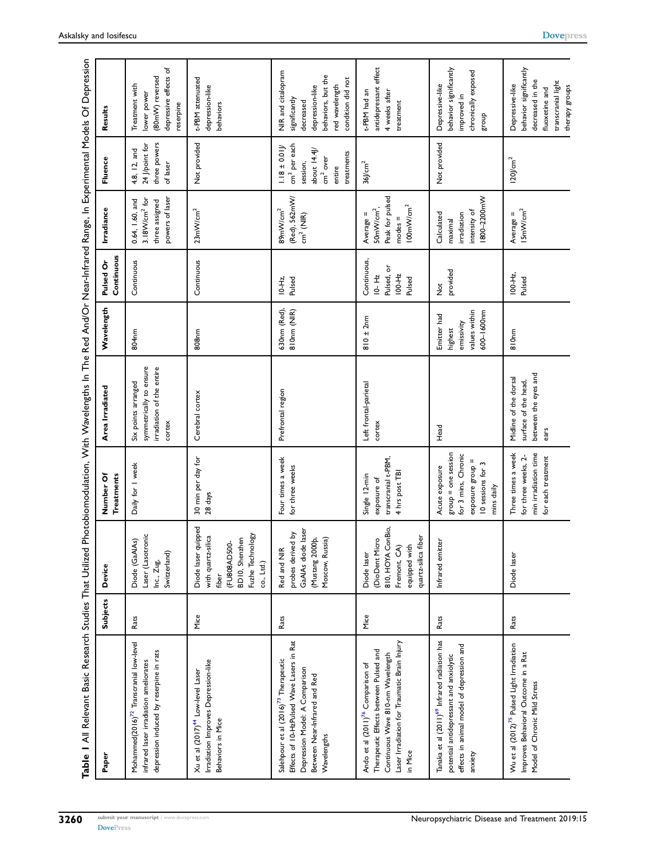| Table 1 All Relevant Basic Research Studies That Utilized                                                                                                                               |          |                                                                                                                        |                                                                                                                       | Photobiomodulation, With Wavelengths In The Red And/Or Near-Infrared Range, In Experimental Models Of Depression |                                                                     |                                                                |                                                                                            |                                                                                                                        |                                                                                                                                  |
|-----------------------------------------------------------------------------------------------------------------------------------------------------------------------------------------|----------|------------------------------------------------------------------------------------------------------------------------|-----------------------------------------------------------------------------------------------------------------------|------------------------------------------------------------------------------------------------------------------|---------------------------------------------------------------------|----------------------------------------------------------------|--------------------------------------------------------------------------------------------|------------------------------------------------------------------------------------------------------------------------|----------------------------------------------------------------------------------------------------------------------------------|
| Paper                                                                                                                                                                                   | Subjects | Device                                                                                                                 | Number Of<br><b>Treatments</b>                                                                                        | Area Irradiated                                                                                                  | Wavelength                                                          | Continuous<br>Pulsed Or                                        | Irradiance                                                                                 | Fluence                                                                                                                | Results                                                                                                                          |
| Mohammed(2016) <sup>72</sup> Transcranial low-level<br>depression induced by reserpine in rats<br>infrared laser irradiation ameliorates                                                | Rats     | Laser (Lasotronic<br>Diode (GaAlAs)<br>Switzerland)<br>Inc., Zug,                                                      | Daily for I week                                                                                                      | symmetrically to ensure<br>irradiation of the entire<br>Six points arranged<br>cortex                            | 804 <sub>nm</sub>                                                   | Continuous                                                     | powers of laser<br>3.18W/cm <sup>2</sup> for<br>0.64, 1.60, and<br>three assigned          | three powers<br>24 J/point for<br>4.8, 12, and<br>of laser                                                             | depressive effects of<br>(80mW) reversed<br>Treatment with<br>lower power<br>reserpine                                           |
| Irradiation Improves Depression-like<br>Xu et al (2017) <sup>44</sup> Low-level Laser<br>Behaviors in Mice                                                                              | Mice     | Diode laser quipped<br>Fuzhe Technology<br>with quartz-silica<br>BD10, Shenzhen<br>(FU808AD500-<br>co., Ltd.)<br>fiber | 30 min per day for<br>28 days                                                                                         | Cerebral cortex                                                                                                  | 808nm                                                               | Continuous                                                     | 23mW/cm <sup>2</sup>                                                                       | Not provided                                                                                                           | t-PBM attenuated<br>depression-like<br>behaviors                                                                                 |
| Effects of 10-HzPulsed Wave Lasers in Rat<br>Salehpour et al (2016) <sup>73</sup> Therapeutic<br>Depression Model: A Comparison<br>Between Near-Infrared and Red<br>Wavelengths         | Rats     | GaAIAs diode laser<br>probes derived by<br>(Mustang 2000b,<br>Moscow, Russia)<br>Red and NIR                           | Four times a week<br>for three weeks                                                                                  | Prefrontal region                                                                                                | 630nm (Red),<br>810nm (NIR)                                         | Pulsed<br>$10 - Hz$ ,                                          | (Red), 562mW/<br>89mW/cm <sup>2</sup><br>$cm2$ (NIR)                                       | cm <sup>2</sup> per each<br>$1.18 \pm 0.01$<br>about 14.4J<br>treatments<br>cm <sup>2</sup> over<br>session,<br>entire | NIR and citalopram<br>behaviors, but the<br>condition did not<br>red wavelength<br>depression-like<br>significantly<br>decreased |
| Laser Irradiation for Traumatic Brain Injury<br>Therapeutic Effects between Pulsed and<br>Continuous Wave 810-nm Wavelength<br>Ando et al (2011) <sup>76</sup> Comparison of<br>in Mice | Mice     | 810, HOYA ConBio,<br>quartz-silica fiber<br>(DioDent Micro<br>equipped with<br>Fremont, CA<br>Diode laser              | transcranial t-PBM,<br>4 hrs post TBI<br>Single 12-min<br>exposure of                                                 | Left frontal-parietal<br>cortex                                                                                  | $810 \pm 2nm$                                                       | Continuous,<br>Pulsed, or<br>$100 - Hz$<br>$10 - Hz$<br>Pulsed | Peak for pulsed<br>100mW/cm <sup>2</sup><br>50mW/cm <sup>2</sup><br>Average =<br>$modes =$ | $36$ J/cm <sup>2</sup>                                                                                                 | antidepressant effect<br>t-PBM had an<br>4 weeks after<br>treatment                                                              |
| Tanaka et al (2011) <sup>69</sup> Infrared radiation has<br>effects in animal model of depression and<br>potential antidepressant and anxiolytic<br>anxiety                             | Rats     | Infrared emitter                                                                                                       | $group = one session$<br>for 3 mins, Chronic<br>exposure group =<br>10 sessions for 3<br>Acute exposure<br>mins daily | Head                                                                                                             | values within<br>600-1600nm<br>Emitter had<br>emissivity<br>highest | provided<br>$\breve{\mathsf{z}}$                               | 1800-2200mW<br>intensity of<br>Calculated<br>irradiation<br>maximal                        | Not provided                                                                                                           | behavior significantly<br>chronically exposed<br>Depressive-like<br>improved in<br>dnoug                                         |
| Wu et al (2012) <sup>75</sup> Pulsed Light Irradiation<br>Improves Behavioral Outcome in a Rat<br>Model of Chronic Mild Stress                                                          | Rats     | Diode laser                                                                                                            | Three times a week<br>min irradiation time<br>for three weeks, 2-<br>for each treatment                               | between the eyes and<br>Midline of the dorsal<br>surface of the head,<br>ears                                    | 810 <sub>nm</sub>                                                   | $100 - Hz$ ,<br>Pulsed                                         | 15mW/cm <sup>2</sup><br>Average =                                                          | $120$ J/cm <sup>2</sup>                                                                                                | behavior significantly<br>transcranial light<br>decreased in the<br>Depressive-like<br>therapy groups<br>fluoxetine and          |

 $\overline{a}$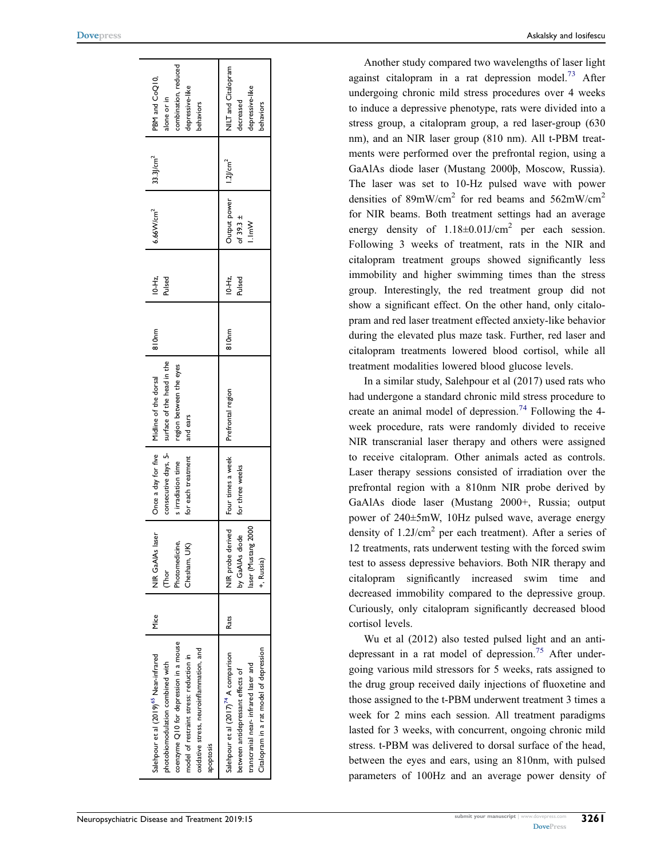| coenzyme Q10 for depression in a mouse<br>oxidative stress, neuroinflammation, and<br>Salehpour et al (2019) <sup>65</sup> Near-infrared<br>model of restraint stress: reduction in<br>photobiomodulation combined with<br>apoptosis | <b>Mice</b> | NIR GaAIAs laser<br>Photomedicine,<br>Chesham, UK)<br>Thor<br>C           | for each treatment<br>s irradiation time | consecutive days, 5- surface of the head in the<br>region between the eyes<br>Once a day for five   Midline of the dorsal<br>and ears | 810nm             | $10 - H2$ ,<br>Pulsed | $6.66$ W/cm <sup>2</sup>               | $33.3$ J/cm <sup>2</sup> | combination, reduced<br>PBM and CoQ10,<br>depressive-like<br>alone or in<br>pehaviors |
|--------------------------------------------------------------------------------------------------------------------------------------------------------------------------------------------------------------------------------------|-------------|---------------------------------------------------------------------------|------------------------------------------|---------------------------------------------------------------------------------------------------------------------------------------|-------------------|-----------------------|----------------------------------------|--------------------------|---------------------------------------------------------------------------------------|
| Citalopram in a rat model of depression<br>Salehpour et al (2017) <sup>74</sup> A comparison<br>transcranial near- infrared laser and<br>between antidepressant effects of                                                           | Rats        | NIR probe derived<br>laser (Mustang 2000<br>by GaAlAs diode<br>+, Russia) | Four times a week<br>for three weeks     | Prefrontal region                                                                                                                     | 810 <sub>nm</sub> | $10 - Hz$ ,<br>Pulsed | Output power<br>of 39.3 $\pm$<br>I.ImW | $1.2$ J/cm <sup>2</sup>  | NILT and Citalopram<br>depressive-like<br>decreased<br>behaviors                      |

Another study compared two wavelengths of laser light against citalopram in a rat depression model.<sup>73</sup> After undergoing chronic mild stress procedures over 4 weeks to induce a depressive phenotype, rats were divided into a stress group, a citalopram group, a red laser-group (630 nm), and an NIR laser group (810 nm). All t-PBM treatments were performed over the prefrontal region, using a GaAlAs diode laser (Mustang 2000þ, Moscow, Russia). The laser was set to 10-Hz pulsed wave with power densities of  $89mW/cm<sup>2</sup>$  for red beams and  $562mW/cm<sup>2</sup>$ for NIR beams. Both treatment settings had an average energy density of  $1.18 \pm 0.01$  J/cm<sup>2</sup> per each session. Following 3 weeks of treatment, rats in the NIR and citalopram treatment groups showed significantly less immobility and higher swimming times than the stress group. Interestingly, the red treatment group did not show a significant effect. On the other hand, only citalopram and red laser treatment effected anxiety-like behavior during the elevated plus maze task. Further, red laser and citalopram treatments lowered blood cortisol, while all treatment modalities lowered blood glucose levels.

In a similar study, Salehpour et al (2017) used rats who had undergone a standard chronic mild stress procedure to create an animal model of depression.<sup>74</sup> Following the 4week procedure, rats were randomly divided to receive NIR transcranial laser therapy and others were assigned to receive citalopram. Other animals acted as controls. Laser therapy sessions consisted of irradiation over the prefrontal region with a 810nm NIR probe derived by GaAlAs diode laser (Mustang 2000+, Russia; output power of 240±5mW, 10Hz pulsed wave, average energy density of 1.2J/cm<sup>2</sup> per each treatment). After a series of 12 treatments, rats underwent testing with the forced swim test to assess depressive behaviors. Both NIR therapy and citalopram significantly increased swim time and decreased immobility compared to the depressive group. Curiously, only citalopram significantly decreased blood cortisol levels.

Wu et al (2012) also tested pulsed light and an antidepressant in a rat model of depression.<sup>75</sup> After undergoing various mild stressors for 5 weeks, rats assigned to the drug group received daily injections of fluoxetine and those assigned to the t-PBM underwent treatment 3 times a week for 2 mins each session. All treatment paradigms lasted for 3 weeks, with concurrent, ongoing chronic mild stress. t-PBM was delivered to dorsal surface of the head, between the eyes and ears, using an 810nm, with pulsed parameters of 100Hz and an average power density of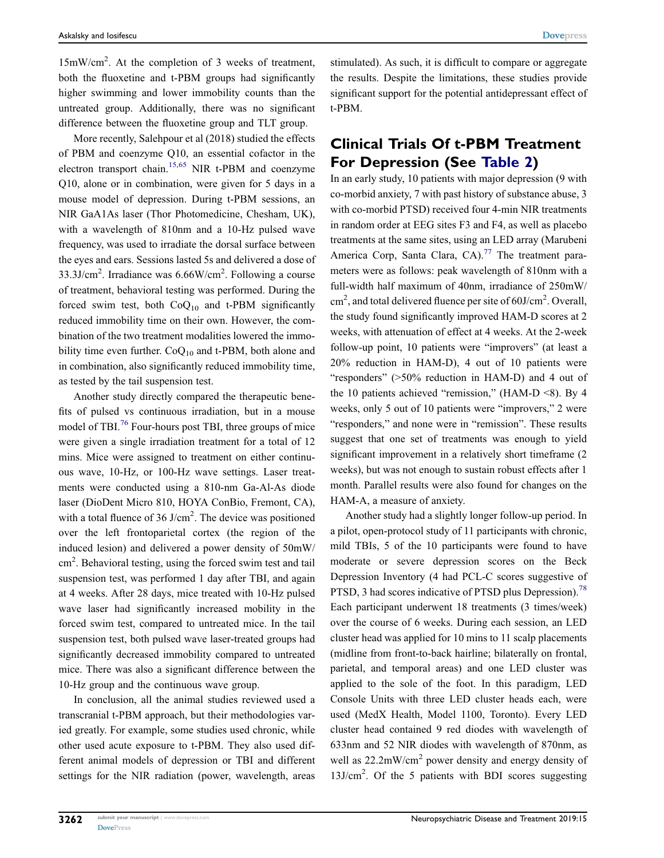15mW/cm<sup>2</sup> . At the completion of 3 weeks of treatment, both the fluoxetine and t-PBM groups had significantly higher swimming and lower immobility counts than the untreated group. Additionally, there was no significant difference between the fluoxetine group and TLT group.

More recently, Salehpour et al (2018) studied the effects of PBM and coenzyme Q10, an essential cofactor in the electron transport chain.<sup>15,65</sup> NIR t-PBM and coenzyme Q10, alone or in combination, were given for 5 days in a mouse model of depression. During t-PBM sessions, an NIR GaA1As laser (Thor Photomedicine, Chesham, UK), with a wavelength of 810nm and a 10-Hz pulsed wave frequency, was used to irradiate the dorsal surface between the eyes and ears. Sessions lasted 5s and delivered a dose of  $33.3$ J/cm<sup>2</sup>. Irradiance was  $6.66$ W/cm<sup>2</sup>. Following a course of treatment, behavioral testing was performed. During the forced swim test, both  $CoQ_{10}$  and t-PBM significantly reduced immobility time on their own. However, the combination of the two treatment modalities lowered the immobility time even further.  $CoQ_{10}$  and t-PBM, both alone and in combination, also significantly reduced immobility time, as tested by the tail suspension test.

Another study directly compared the therapeutic benefits of pulsed vs continuous irradiation, but in a mouse model of TBI.<sup>76</sup> Four-hours post TBI, three groups of mice were given a single irradiation treatment for a total of 12 mins. Mice were assigned to treatment on either continuous wave, 10-Hz, or 100-Hz wave settings. Laser treatments were conducted using a 810-nm Ga-Al-As diode laser (DioDent Micro 810, HOYA ConBio, Fremont, CA), with a total fluence of 36  $J/cm<sup>2</sup>$ . The device was positioned over the left frontoparietal cortex (the region of the induced lesion) and delivered a power density of 50mW/ cm<sup>2</sup>. Behavioral testing, using the forced swim test and tail suspension test, was performed 1 day after TBI, and again at 4 weeks. After 28 days, mice treated with 10-Hz pulsed wave laser had significantly increased mobility in the forced swim test, compared to untreated mice. In the tail suspension test, both pulsed wave laser-treated groups had significantly decreased immobility compared to untreated mice. There was also a significant difference between the 10-Hz group and the continuous wave group.

In conclusion, all the animal studies reviewed used a transcranial t-PBM approach, but their methodologies varied greatly. For example, some studies used chronic, while other used acute exposure to t-PBM. They also used different animal models of depression or TBI and different settings for the NIR radiation (power, wavelength, areas stimulated). As such, it is difficult to compare or aggregate the results. Despite the limitations, these studies provide significant support for the potential antidepressant effect of t-PBM.

### Clinical Trials Of t-PBM Treatment For Depression (See Table 2)

In an early study, 10 patients with major depression (9 with co-morbid anxiety, 7 with past history of substance abuse, 3 with co-morbid PTSD) received four 4-min NIR treatments in random order at EEG sites F3 and F4, as well as placebo treatments at the same sites, using an LED array (Marubeni America Corp, Santa Clara, CA).<sup>77</sup> The treatment parameters were as follows: peak wavelength of 810nm with a full-width half maximum of 40nm, irradiance of 250mW/ cm<sup>2</sup>, and total delivered fluence per site of 60J/cm<sup>2</sup>. Overall, the study found significantly improved HAM-D scores at 2 weeks, with attenuation of effect at 4 weeks. At the 2-week follow-up point, 10 patients were "improvers" (at least a 20% reduction in HAM-D), 4 out of 10 patients were "responders" (>50% reduction in HAM-D) and 4 out of the 10 patients achieved "remission," (HAM-D <8). By 4 weeks, only 5 out of 10 patients were "improvers," 2 were "responders," and none were in "remission". These results suggest that one set of treatments was enough to yield significant improvement in a relatively short timeframe  $(2)$ weeks), but was not enough to sustain robust effects after 1 month. Parallel results were also found for changes on the HAM-A, a measure of anxiety.

Another study had a slightly longer follow-up period. In a pilot, open-protocol study of 11 participants with chronic, mild TBIs, 5 of the 10 participants were found to have moderate or severe depression scores on the Beck Depression Inventory (4 had PCL-C scores suggestive of PTSD, 3 had scores indicative of PTSD plus Depression).<sup>78</sup> Each participant underwent 18 treatments (3 times/week) over the course of 6 weeks. During each session, an LED cluster head was applied for 10 mins to 11 scalp placements (midline from front-to-back hairline; bilaterally on frontal, parietal, and temporal areas) and one LED cluster was applied to the sole of the foot. In this paradigm, LED Console Units with three LED cluster heads each, were used (MedX Health, Model 1100, Toronto). Every LED cluster head contained 9 red diodes with wavelength of 633nm and 52 NIR diodes with wavelength of 870nm, as well as 22.2mW/cm<sup>2</sup> power density and energy density of 13J/cm2 . Of the 5 patients with BDI scores suggesting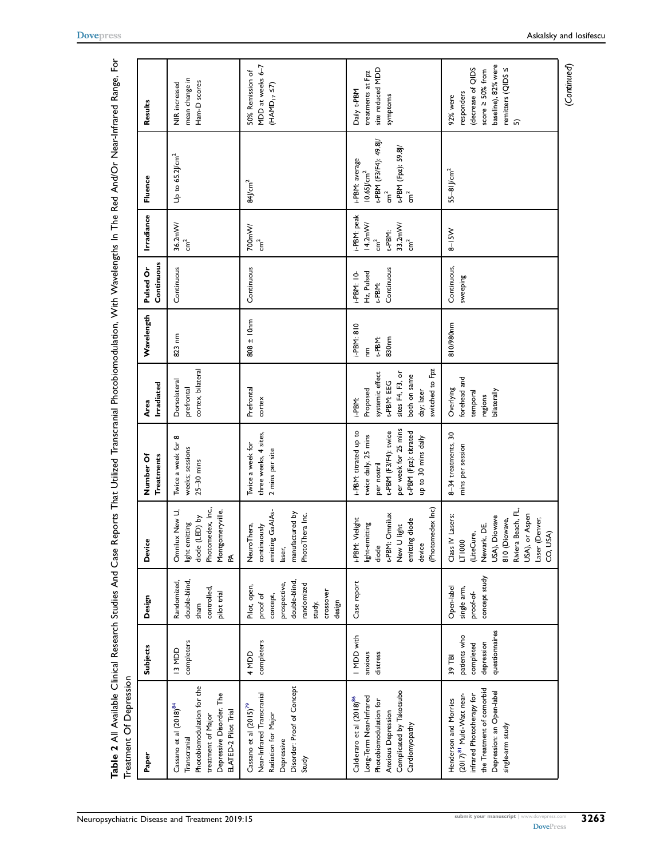| Table 2 All Available Clinical Research Studies And Case Reports That Utilized Transcranial Photobiomodulation, With Wavelengths In The Red And/Or Near-Infrared Range, For<br>Treatment Of Depression |                                                                     |                                                                                                                     |                                                                                                                                                                    |                                                                                                                                                              |                                                                                                                          |                                                                   |                                                   |                                                                      |                                                                                                                                   |                                                                                                                        |
|--------------------------------------------------------------------------------------------------------------------------------------------------------------------------------------------------------|---------------------------------------------------------------------|---------------------------------------------------------------------------------------------------------------------|--------------------------------------------------------------------------------------------------------------------------------------------------------------------|--------------------------------------------------------------------------------------------------------------------------------------------------------------|--------------------------------------------------------------------------------------------------------------------------|-------------------------------------------------------------------|---------------------------------------------------|----------------------------------------------------------------------|-----------------------------------------------------------------------------------------------------------------------------------|------------------------------------------------------------------------------------------------------------------------|
| Paper                                                                                                                                                                                                  | <b>Subjects</b>                                                     | Design                                                                                                              | Device                                                                                                                                                             | Number Of<br><b>Treatments</b>                                                                                                                               | Irradiated<br><b>Area</b>                                                                                                | Wavelength                                                        | Continuous<br>Pulsed Or                           | Irradiance                                                           | Fluence                                                                                                                           | Results                                                                                                                |
| Photobiomodulation for the<br>Depressive Disorder. The<br>Cassano et al (2018) <sup>84</sup><br>ELATED-2 Pilot Trial<br>treatment of Major<br>Transcranial                                             | completers<br>I3 MDD                                                | double-blind,<br>Randomized,<br>controlled,<br>pilot trial<br>sham                                                  | Photomedex, Inc.,<br>Omnilux New U,<br>Montgomeryville,<br>diode (LED) by<br>light emitting<br>≴                                                                   | Twice a week for 8<br>weeks; sessions<br>$25-30$ mins                                                                                                        | cortex, bilateral<br>Dorsolateral<br>prefrontal                                                                          | 823 nm                                                            | Continuous                                        | $36.2$ mW/<br>cm <sup>2</sup>                                        | Up to $65.2$ J/cm <sup>2</sup>                                                                                                    | mean change in<br>Ham-D scores<br><b>NIR</b> increased                                                                 |
| Disorder: Proof of Concept<br>Near-Infrared Transcranial<br>Cassano et al (2015) <sup>79</sup><br>Radiation for Major<br>Depressive<br>Study                                                           | completers<br>4 MDD                                                 | double-blind<br>prospective,<br>randomized<br>Pilot, open,<br>crossover<br>proof of<br>concept,<br>design<br>study, | emitting GaAIAs-<br>manufactured by<br>PhotoThera Inc.<br>Neuro Thera,<br>continuously<br>laser,                                                                   | three weeks, 4 sites,<br>Twice a week for<br>2 mins per site                                                                                                 | Prefrontal<br>cortex                                                                                                     | $808 \pm 10nm$                                                    | Continuous                                        | 700mW/<br>$\overline{5}$                                             | $84$ J/cm <sup>2</sup>                                                                                                            | MDD at weeks 6-7<br>50% Remission of<br>$(HAND_{17} 57)$                                                               |
| Complicated by Takotsubo<br>Long-Term Near-Infrared<br>Caldieraro et al (2018) <sup>86</sup><br>Photobiomodulation for<br>Anxious Depression<br>Cardiomyopathy                                         | I MDD with<br>anxious<br>distress                                   | Case report                                                                                                         | (Photomedex Inc)<br>t-PBM: Omnilux<br>Vielight<br>emitting diode<br>light-emitting<br>New U light<br>diode<br>device<br>i-PBM:                                     | per week for 25 mins<br>i-PBM: titrated up to<br>t-PBM (F3/F4): twice<br>t-PBM (Fpz): titrated<br>twice daily, 25 mins<br>up to 30 mins daily<br>per nostril | switched to Fpz<br>sites F4, F3, or<br>systemic effect<br>both on same<br>t-PBM: EEG<br>Proposed<br>day; later<br>i-PBM: | $i-PBN: 810$<br>830 <sub>nm</sub><br>t-PBM:<br>$\tilde{\epsilon}$ | Continuous<br>Hz, Pulsed<br>$i-PBN: 10$<br>t-PBM: | i-PBM: peak<br>14.2 <sub>mv</sub><br>33.2mW/<br>t-PBM:<br>ัธิ<br>ີ້ເ | t-PBM (F3/F4): 49.8J/<br>cm <sup>2</sup><br>t-PBM (Fpz): 59.8J/<br>i-PBM: average<br>$10.65$ J/cm <sup>2</sup><br>$\mathrm{cm}^2$ | site reduced MDD<br>treatments at Fpz<br>Daily t-PBM<br>symptoms                                                       |
| the Treatment of comorbid<br>Depression: an Open-label<br>(2017) <sup>81</sup> Multi-Watt near-<br>infrared Phototherapy for<br>Henderson and Morries<br>single-arm study                              | questionnaires<br>patients who<br>depression<br>completed<br>39 TBI | concept study<br>Open-label<br>single arm,<br>proof-of-                                                             | Beach, FL,<br>USA), or Aspen<br>Class IV Lasers:<br>USA), Diowave<br>Laser (Denver,<br>810 (Diowave,<br>Newark, DE,<br>(LiteCure,<br>CO, USA)<br>LT1000<br>Riviera | 8-34 treatments, 30<br>mins per session                                                                                                                      | forehead and<br>Overlying<br>bilaterally<br>temporal<br>regions                                                          | 810/980nm                                                         | Continuous,<br>sweeping                           | $8 - 15W$                                                            | $55 - 8$ l $/cm2$                                                                                                                 | baseline), 82% were<br>(decrease of QIDS<br>remitters (QIDS <<br>score $\geq$ 50% from<br>responders<br>92% were<br>ົດ |
|                                                                                                                                                                                                        |                                                                     |                                                                                                                     |                                                                                                                                                                    |                                                                                                                                                              |                                                                                                                          |                                                                   |                                                   |                                                                      |                                                                                                                                   | (Continued)                                                                                                            |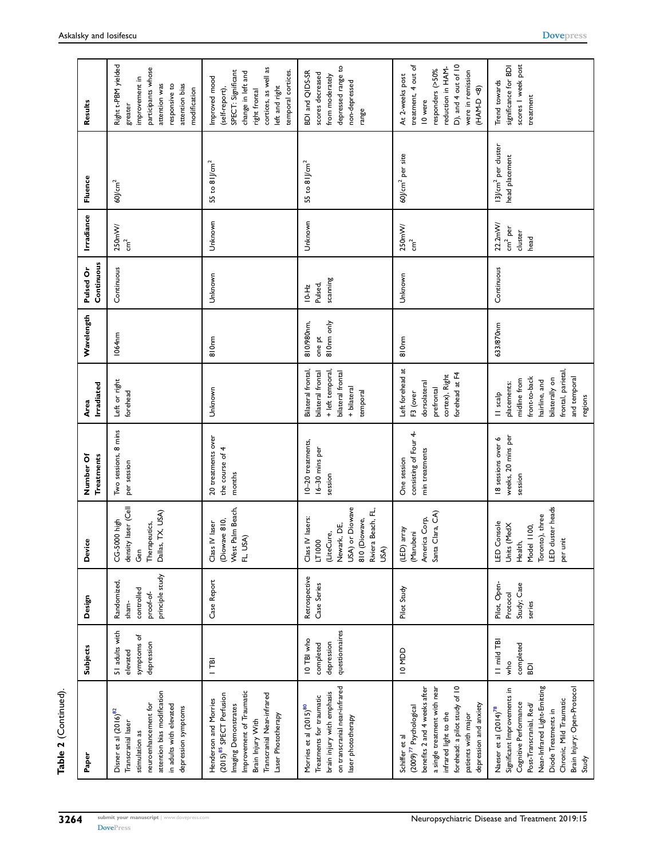| Continue <sup>-</sup> |  |
|-----------------------|--|
|                       |  |
| ة aldist              |  |
|                       |  |

| Paper                                                                                                                                                                                                                                             | Subjects                                                   | Design                                                             | Device                                                                                                                   | <b>Treatments</b><br>Number Of                         | Irradiated<br>Area                                                                                                                           | Wavelength                         | Continuous<br>Pulsed Or          | Irradiance                                        | Fluence                                           | Results                                                                                                                                                      |
|---------------------------------------------------------------------------------------------------------------------------------------------------------------------------------------------------------------------------------------------------|------------------------------------------------------------|--------------------------------------------------------------------|--------------------------------------------------------------------------------------------------------------------------|--------------------------------------------------------|----------------------------------------------------------------------------------------------------------------------------------------------|------------------------------------|----------------------------------|---------------------------------------------------|---------------------------------------------------|--------------------------------------------------------------------------------------------------------------------------------------------------------------|
| attention bias modification<br>neuroenhancement for<br>in adults with elevated<br>depression symptoms<br>Disner et al (2016) <sup>82</sup><br>Transcranial laser<br>stimulation as                                                                | 51 adults with<br>symptoms of<br>depression<br>elevated    | principle study<br>Randomized,<br>controlled<br>proof-of-<br>sham- | density laser (Cell<br>Dallas, TX, USA)<br>CG-5000 high<br>Therapeutics,<br>Gen                                          | Two sessions, 8 mins<br>per session                    | Left or right<br>forehead                                                                                                                    | 1064nm                             | Continuous                       | $250m$ W/                                         | $60$ J/cm <sup>2</sup>                            | Right t-PBM yielded<br>participants whose<br>improvement in<br>attention was<br>attention bias<br>responsive to<br>modification<br>greater                   |
| Improvement of Traumatic<br>Transcranial Near-infrared<br>(2015) <sup>85</sup> SPECT Perfusion<br>Henderson and Morries<br>Imaging Demonstrates<br>Laser Phototherapy<br>Brain Injury With                                                        | $\overline{1}$                                             | Case Report                                                        | Palm Beach,<br>(Diowave 810,<br>IV laser<br>FL, USA)<br>Class<br>West                                                    | 20 treatments over<br>the course of 4<br>months        | Unknown                                                                                                                                      | 810 <sub>nm</sub>                  | Unknown                          | Unknown                                           | 55 to $8$ l/cm <sup>2</sup>                       | cortices, as well as<br>SPECT: Significant<br>temporal cortices.<br>change in left and<br>Improved mood<br>left and right<br>(self-report),<br>right frontal |
| on transcranial near-infrared<br>brain injury with emphasis<br>Treatments for traumatic<br>Morries et al (2015) <sup>80</sup><br>laser phototherapy                                                                                               | questionnaires<br>IO TBI who<br>depression<br>completed    | Retrospective<br>Case Series                                       | USA) or Diowave<br>Riviera Beach, FL<br>Class IV lasers:<br>810 (Diowave,<br>Newark, DE,<br>(LiteCure,<br>LT1000<br>USA) | 10-20 treatments,<br>16-30 mins per<br>session         | Bilateral frontal,<br>+ left temporal<br>bilateral frontal<br>bilateral frontal<br>+ bilateral<br>temporal                                   | 810nm only<br>810/980nm,<br>one pt | scanning<br>Pulsed,<br>$10 - Hz$ | Unknown                                           | $55$ to $8$ l/cm <sup>2</sup>                     | depressed range to<br>BDI and QIDS-SR<br>scores decreased<br>from moderately<br>non-depressed<br>range                                                       |
| benefits 2 and 4 weeks after<br>forehead: a pilot study of 10<br>a single treatment with near<br>depression and anxiety<br>$(2009)^{77}$ Psychological<br>infrared light to the<br>patients with major<br>Schiffer et al                          | IO MOD                                                     | Pilot Study                                                        | Clara, CA)<br>America Corp,<br>(LED) array<br>(Marubeni<br>Santa                                                         | consisting of Four 4-<br>min treatments<br>One session | Left forehead at<br>forehead at F4<br>cortex), Right<br>dorsolateral<br>prefrontal<br>F3 (over                                               | 810 <sub>nm</sub>                  | Unknown                          | 250mW/                                            | 60J/cm <sup>2</sup> per site                      | D), and 4 out of 10<br>treatment, 4 out of<br>reduction in HAM-<br>responders (>50%<br>were in remission<br>At 2-weeks post<br>(HAM-D <8)<br>10 were         |
| Near-Infrared Light-Emitting<br>Brain Injury: Open-Protocol<br>Ξ.<br>Significant Improvements<br>Chronic, Mild Traumatic<br>Cognitive Performance<br>Post-Transcranial, Red/<br>Naeser et al (2014) <sup>78</sup><br>Diode Treatments in<br>Study | II mild TBI<br>completed<br>who<br>$\overline{\mathsf{B}}$ | Pilot, Open-<br>Study; Case<br>Protocol<br>series                  | LED cluster heads<br>Toronto), three<br>Console<br>Units (MedX<br>Model 1100,<br>per unit<br>Health,<br>$\Xi$            | weeks, 20 mins per<br>18 sessions over 6<br>session    | frontal, parietal,<br>and temporal<br>front-to-back<br>bilaterally on<br>midline from<br>hairline, and<br>placements:<br>II scalp<br>regions | 633/870nm                          | Continuous                       | 22.2mW/<br>cm <sup>2</sup> per<br>cluster<br>head | 13J/cm <sup>2</sup> per cluster<br>head placement | scores I week post<br>significance for BDI<br>Trend towards<br>treatment                                                                                     |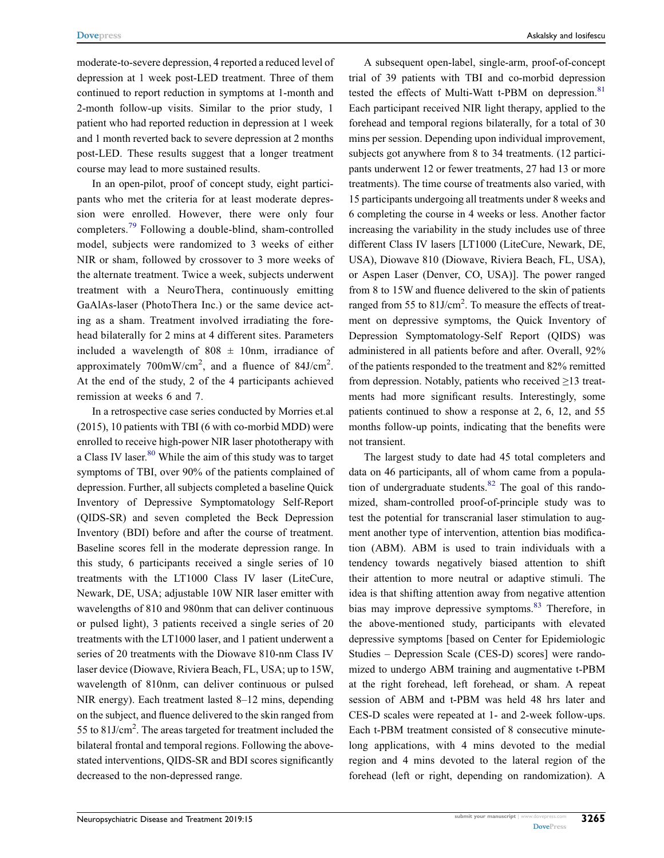moderate-to-severe depression, 4 reported a reduced level of depression at 1 week post-LED treatment. Three of them continued to report reduction in symptoms at 1-month and 2-month follow-up visits. Similar to the prior study, 1 patient who had reported reduction in depression at 1 week and 1 month reverted back to severe depression at 2 months post-LED. These results suggest that a longer treatment course may lead to more sustained results.

In an open-pilot, proof of concept study, eight participants who met the criteria for at least moderate depression were enrolled. However, there were only four completers.<sup>79</sup> Following a double-blind, sham-controlled model, subjects were randomized to 3 weeks of either NIR or sham, followed by crossover to 3 more weeks of the alternate treatment. Twice a week, subjects underwent treatment with a NeuroThera, continuously emitting GaAlAs-laser (PhotoThera Inc.) or the same device acting as a sham. Treatment involved irradiating the forehead bilaterally for 2 mins at 4 different sites. Parameters included a wavelength of  $808 \pm 10$ nm, irradiance of approximately  $700 \text{mW/cm}^2$ , and a fluence of  $84 \text{J/cm}^2$ . At the end of the study, 2 of the 4 participants achieved remission at weeks 6 and 7.

In a retrospective case series conducted by Morries et.al (2015), 10 patients with TBI (6 with co-morbid MDD) were enrolled to receive high-power NIR laser phototherapy with a Class IV laser.<sup>80</sup> While the aim of this study was to target symptoms of TBI, over 90% of the patients complained of depression. Further, all subjects completed a baseline Quick Inventory of Depressive Symptomatology Self-Report (QIDS-SR) and seven completed the Beck Depression Inventory (BDI) before and after the course of treatment. Baseline scores fell in the moderate depression range. In this study, 6 participants received a single series of 10 treatments with the LT1000 Class IV laser (LiteCure, Newark, DE, USA; adjustable 10W NIR laser emitter with wavelengths of 810 and 980nm that can deliver continuous or pulsed light), 3 patients received a single series of 20 treatments with the LT1000 laser, and 1 patient underwent a series of 20 treatments with the Diowave 810-nm Class IV laser device (Diowave, Riviera Beach, FL, USA; up to 15W, wavelength of 810nm, can deliver continuous or pulsed NIR energy). Each treatment lasted 8–12 mins, depending on the subject, and fluence delivered to the skin ranged from 55 to  $81$ J/cm<sup>2</sup>. The areas targeted for treatment included the bilateral frontal and temporal regions. Following the abovestated interventions, QIDS-SR and BDI scores significantly decreased to the non-depressed range.

A subsequent open-label, single-arm, proof-of-concept trial of 39 patients with TBI and co-morbid depression tested the effects of Multi-Watt t-PBM on depression.<sup>81</sup> Each participant received NIR light therapy, applied to the forehead and temporal regions bilaterally, for a total of 30 mins per session. Depending upon individual improvement, subjects got anywhere from 8 to 34 treatments. (12 participants underwent 12 or fewer treatments, 27 had 13 or more treatments). The time course of treatments also varied, with 15 participants undergoing all treatments under 8 weeks and 6 completing the course in 4 weeks or less. Another factor increasing the variability in the study includes use of three different Class IV lasers [LT1000 (LiteCure, Newark, DE, USA), Diowave 810 (Diowave, Riviera Beach, FL, USA), or Aspen Laser (Denver, CO, USA)]. The power ranged from 8 to 15W and fluence delivered to the skin of patients ranged from 55 to  $81$ J/cm<sup>2</sup>. To measure the effects of treatment on depressive symptoms, the Quick Inventory of Depression Symptomatology-Self Report (QIDS) was administered in all patients before and after. Overall, 92% of the patients responded to the treatment and 82% remitted from depression. Notably, patients who received  $\geq$ 13 treatments had more significant results. Interestingly, some patients continued to show a response at 2, 6, 12, and 55 months follow-up points, indicating that the benefits were not transient.

The largest study to date had 45 total completers and data on 46 participants, all of whom came from a population of undergraduate students. $82$  The goal of this randomized, sham-controlled proof-of-principle study was to test the potential for transcranial laser stimulation to augment another type of intervention, attention bias modification (ABM). ABM is used to train individuals with a tendency towards negatively biased attention to shift their attention to more neutral or adaptive stimuli. The idea is that shifting attention away from negative attention bias may improve depressive symptoms.<sup>83</sup> Therefore, in the above-mentioned study, participants with elevated depressive symptoms [based on Center for Epidemiologic Studies – Depression Scale (CES-D) scores] were randomized to undergo ABM training and augmentative t-PBM at the right forehead, left forehead, or sham. A repeat session of ABM and t-PBM was held 48 hrs later and CES-D scales were repeated at 1- and 2-week follow-ups. Each t-PBM treatment consisted of 8 consecutive minutelong applications, with 4 mins devoted to the medial region and 4 mins devoted to the lateral region of the forehead (left or right, depending on randomization). A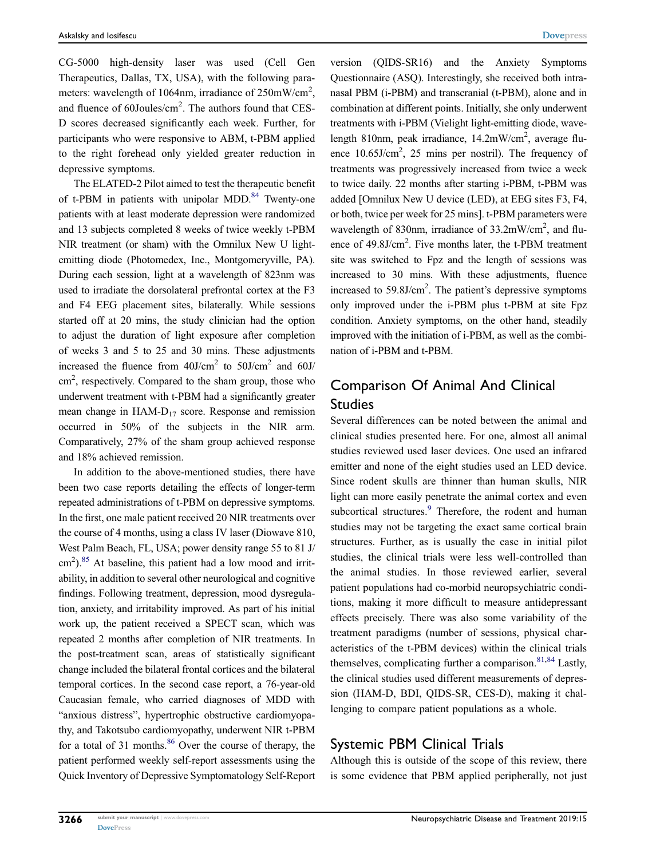CG-5000 high-density laser was used (Cell Gen Therapeutics, Dallas, TX, USA), with the following parameters: wavelength of 1064nm, irradiance of  $250 \text{mW/cm}^2$ , and fluence of  $60$ Joules/ $\text{cm}^2$ . The authors found that CES-D scores decreased significantly each week. Further, for participants who were responsive to ABM, t-PBM applied to the right forehead only yielded greater reduction in depressive symptoms.

The ELATED-2 Pilot aimed to test the therapeutic benefit of t-PBM in patients with unipolar MDD. $84$  Twenty-one patients with at least moderate depression were randomized and 13 subjects completed 8 weeks of twice weekly t-PBM NIR treatment (or sham) with the Omnilux New U lightemitting diode (Photomedex, Inc., Montgomeryville, PA). During each session, light at a wavelength of 823nm was used to irradiate the dorsolateral prefrontal cortex at the F3 and F4 EEG placement sites, bilaterally. While sessions started off at 20 mins, the study clinician had the option to adjust the duration of light exposure after completion of weeks 3 and 5 to 25 and 30 mins. These adjustments increased the fluence from  $40$ J/cm<sup>2</sup> to  $50$ J/cm<sup>2</sup> and  $60$ J/ cm<sup>2</sup>, respectively. Compared to the sham group, those who underwent treatment with t-PBM had a significantly greater mean change in  $HAM-D_{17}$  score. Response and remission occurred in 50% of the subjects in the NIR arm. Comparatively, 27% of the sham group achieved response and 18% achieved remission.

In addition to the above-mentioned studies, there have been two case reports detailing the effects of longer-term repeated administrations of t-PBM on depressive symptoms. In the first, one male patient received 20 NIR treatments over the course of 4 months, using a class IV laser (Diowave 810, West Palm Beach, FL, USA; power density range 55 to 81 J/ cm<sup>2</sup>).<sup>85</sup> At baseline, this patient had a low mood and irritability, in addition to several other neurological and cognitive findings. Following treatment, depression, mood dysregulation, anxiety, and irritability improved. As part of his initial work up, the patient received a SPECT scan, which was repeated 2 months after completion of NIR treatments. In the post-treatment scan, areas of statistically significant change included the bilateral frontal cortices and the bilateral temporal cortices. In the second case report, a 76-year-old Caucasian female, who carried diagnoses of MDD with "anxious distress", hypertrophic obstructive cardiomyopathy, and Takotsubo cardiomyopathy, underwent NIR t-PBM for a total of 31 months.<sup>86</sup> Over the course of therapy, the patient performed weekly self-report assessments using the Quick Inventory of Depressive Symptomatology Self-Report

version (QIDS-SR16) and the Anxiety Symptoms Questionnaire (ASQ). Interestingly, she received both intranasal PBM (i-PBM) and transcranial (t-PBM), alone and in combination at different points. Initially, she only underwent treatments with i-PBM (Vielight light-emitting diode, wavelength 810nm, peak irradiance, 14.2mW/cm<sup>2</sup>, average fluence 10.65J/cm<sup>2</sup>, 25 mins per nostril). The frequency of treatments was progressively increased from twice a week to twice daily. 22 months after starting i-PBM, t-PBM was added [Omnilux New U device (LED), at EEG sites F3, F4, or both, twice per week for 25 mins]. t-PBM parameters were wavelength of 830nm, irradiance of  $33.2 \text{mW/cm}^2$ , and fluence of 49.8J/cm<sup>2</sup>. Five months later, the t-PBM treatment site was switched to Fpz and the length of sessions was increased to 30 mins. With these adjustments, fluence increased to  $59.8$ J/cm<sup>2</sup>. The patient's depressive symptoms only improved under the i-PBM plus t-PBM at site Fpz condition. Anxiety symptoms, on the other hand, steadily improved with the initiation of i-PBM, as well as the combination of i-PBM and t-PBM.

### Comparison Of Animal And Clinical Studies

Several differences can be noted between the animal and clinical studies presented here. For one, almost all animal studies reviewed used laser devices. One used an infrared emitter and none of the eight studies used an LED device. Since rodent skulls are thinner than human skulls, NIR light can more easily penetrate the animal cortex and even subcortical structures.<sup>9</sup> Therefore, the rodent and human studies may not be targeting the exact same cortical brain structures. Further, as is usually the case in initial pilot studies, the clinical trials were less well-controlled than the animal studies. In those reviewed earlier, several patient populations had co-morbid neuropsychiatric conditions, making it more difficult to measure antidepressant effects precisely. There was also some variability of the treatment paradigms (number of sessions, physical characteristics of the t-PBM devices) within the clinical trials themselves, complicating further a comparison.  $81,84$  Lastly, the clinical studies used different measurements of depression (HAM-D, BDI, QIDS-SR, CES-D), making it challenging to compare patient populations as a whole.

### Systemic PBM Clinical Trials

Although this is outside of the scope of this review, there is some evidence that PBM applied peripherally, not just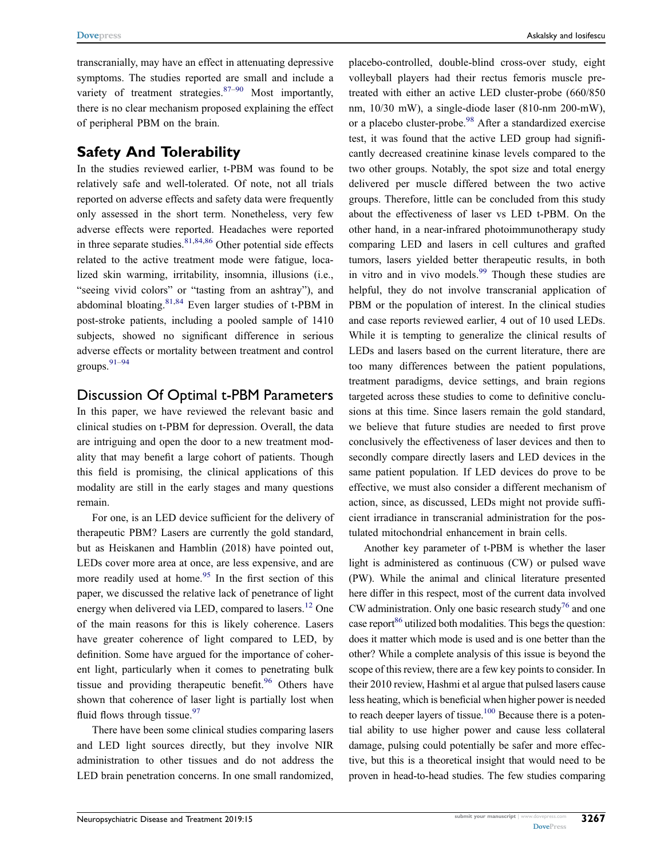transcranially, may have an effect in attenuating depressive symptoms. The studies reported are small and include a variety of treatment strategies. $87-90$  Most importantly, there is no clear mechanism proposed explaining the effect of peripheral PBM on the brain.

### Safety And Tolerability

In the studies reviewed earlier, t-PBM was found to be relatively safe and well-tolerated. Of note, not all trials reported on adverse effects and safety data were frequently only assessed in the short term. Nonetheless, very few adverse effects were reported. Headaches were reported in three separate studies.  $81,84,86$  Other potential side effects related to the active treatment mode were fatigue, localized skin warming, irritability, insomnia, illusions (i.e., "seeing vivid colors" or "tasting from an ashtray"), and abdominal bloating.81,84 Even larger studies of t-PBM in post-stroke patients, including a pooled sample of 1410 subjects, showed no significant difference in serious adverse effects or mortality between treatment and control groups.91–<sup>94</sup>

### Discussion Of Optimal t-PBM Parameters

In this paper, we have reviewed the relevant basic and clinical studies on t-PBM for depression. Overall, the data are intriguing and open the door to a new treatment modality that may benefit a large cohort of patients. Though this field is promising, the clinical applications of this modality are still in the early stages and many questions remain.

For one, is an LED device sufficient for the delivery of therapeutic PBM? Lasers are currently the gold standard, but as Heiskanen and Hamblin (2018) have pointed out, LEDs cover more area at once, are less expensive, and are more readily used at home.<sup>95</sup> In the first section of this paper, we discussed the relative lack of penetrance of light energy when delivered via LED, compared to lasers.<sup>12</sup> One of the main reasons for this is likely coherence. Lasers have greater coherence of light compared to LED, by definition. Some have argued for the importance of coherent light, particularly when it comes to penetrating bulk tissue and providing therapeutic benefit.<sup>96</sup> Others have shown that coherence of laser light is partially lost when fluid flows through tissue. $97$ 

There have been some clinical studies comparing lasers and LED light sources directly, but they involve NIR administration to other tissues and do not address the LED brain penetration concerns. In one small randomized,

placebo-controlled, double-blind cross-over study, eight volleyball players had their rectus femoris muscle pretreated with either an active LED cluster-probe (660/850 nm, 10/30 mW), a single-diode laser (810-nm 200-mW), or a placebo cluster-probe.<sup>98</sup> After a standardized exercise test, it was found that the active LED group had significantly decreased creatinine kinase levels compared to the two other groups. Notably, the spot size and total energy delivered per muscle differed between the two active groups. Therefore, little can be concluded from this study about the effectiveness of laser vs LED t-PBM. On the other hand, in a near-infrared photoimmunotherapy study comparing LED and lasers in cell cultures and grafted tumors, lasers yielded better therapeutic results, in both in vitro and in vivo models.<sup>99</sup> Though these studies are helpful, they do not involve transcranial application of PBM or the population of interest. In the clinical studies and case reports reviewed earlier, 4 out of 10 used LEDs. While it is tempting to generalize the clinical results of LEDs and lasers based on the current literature, there are too many differences between the patient populations, treatment paradigms, device settings, and brain regions targeted across these studies to come to definitive conclusions at this time. Since lasers remain the gold standard, we believe that future studies are needed to first prove conclusively the effectiveness of laser devices and then to secondly compare directly lasers and LED devices in the same patient population. If LED devices do prove to be effective, we must also consider a different mechanism of action, since, as discussed, LEDs might not provide sufficient irradiance in transcranial administration for the postulated mitochondrial enhancement in brain cells.

Another key parameter of t-PBM is whether the laser light is administered as continuous (CW) or pulsed wave (PW). While the animal and clinical literature presented here differ in this respect, most of the current data involved CW administration. Only one basic research study<sup>76</sup> and one case report<sup>86</sup> utilized both modalities. This begs the question: does it matter which mode is used and is one better than the other? While a complete analysis of this issue is beyond the scope of this review, there are a few key points to consider. In their 2010 review, Hashmi et al argue that pulsed lasers cause less heating, which is beneficial when higher power is needed to reach deeper layers of tissue.<sup>100</sup> Because there is a potential ability to use higher power and cause less collateral damage, pulsing could potentially be safer and more effective, but this is a theoretical insight that would need to be proven in head-to-head studies. The few studies comparing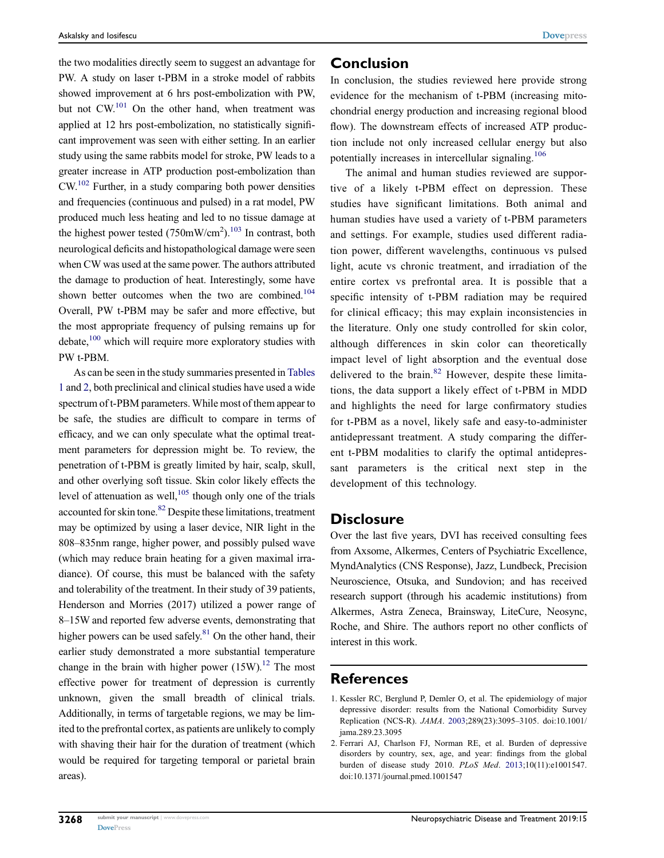the two modalities directly seem to suggest an advantage for PW. A study on laser t-PBM in a stroke model of rabbits showed improvement at 6 hrs post-embolization with PW, but not  $CW<sup>101</sup>$  On the other hand, when treatment was applied at 12 hrs post-embolization, no statistically significant improvement was seen with either setting. In an earlier study using the same rabbits model for stroke, PW leads to a greater increase in ATP production post-embolization than  $CW<sup>102</sup>$  Further, in a study comparing both power densities and frequencies (continuous and pulsed) in a rat model, PW produced much less heating and led to no tissue damage at the highest power tested  $(750 \text{mW/cm}^2)$ .<sup>103</sup> In contrast, both neurological deficits and histopathological damage were seen when CW was used at the same power. The authors attributed the damage to production of heat. Interestingly, some have shown better outcomes when the two are combined.<sup>104</sup> Overall, PW t-PBM may be safer and more effective, but the most appropriate frequency of pulsing remains up for debate,<sup>100</sup> which will require more exploratory studies with PW t-PBM.

As can be seen in the study summaries presented in Tables 1 and 2, both preclinical and clinical studies have used a wide spectrum of t-PBM parameters. While most of them appear to be safe, the studies are difficult to compare in terms of efficacy, and we can only speculate what the optimal treatment parameters for depression might be. To review, the penetration of t-PBM is greatly limited by hair, scalp, skull, and other overlying soft tissue. Skin color likely effects the level of attenuation as well, $105$  though only one of the trials accounted for skin tone.<sup>82</sup> Despite these limitations, treatment may be optimized by using a laser device, NIR light in the 808–835nm range, higher power, and possibly pulsed wave (which may reduce brain heating for a given maximal irradiance). Of course, this must be balanced with the safety and tolerability of the treatment. In their study of 39 patients, Henderson and Morries (2017) utilized a power range of 8–15W and reported few adverse events, demonstrating that higher powers can be used safely. $81$  On the other hand, their earlier study demonstrated a more substantial temperature change in the brain with higher power  $(15W)^{12}$ . The most effective power for treatment of depression is currently unknown, given the small breadth of clinical trials. Additionally, in terms of targetable regions, we may be limited to the prefrontal cortex, as patients are unlikely to comply with shaving their hair for the duration of treatment (which would be required for targeting temporal or parietal brain areas).

#### Conclusion

In conclusion, the studies reviewed here provide strong evidence for the mechanism of t-PBM (increasing mitochondrial energy production and increasing regional blood flow). The downstream effects of increased ATP production include not only increased cellular energy but also potentially increases in intercellular signaling.<sup>106</sup>

The animal and human studies reviewed are supportive of a likely t-PBM effect on depression. These studies have significant limitations. Both animal and human studies have used a variety of t-PBM parameters and settings. For example, studies used different radiation power, different wavelengths, continuous vs pulsed light, acute vs chronic treatment, and irradiation of the entire cortex vs prefrontal area. It is possible that a specific intensity of t-PBM radiation may be required for clinical efficacy; this may explain inconsistencies in the literature. Only one study controlled for skin color, although differences in skin color can theoretically impact level of light absorption and the eventual dose delivered to the brain.<sup>82</sup> However, despite these limitations, the data support a likely effect of t-PBM in MDD and highlights the need for large confirmatory studies for t-PBM as a novel, likely safe and easy-to-administer antidepressant treatment. A study comparing the different t-PBM modalities to clarify the optimal antidepressant parameters is the critical next step in the development of this technology.

#### **Disclosure**

Over the last five years, DVI has received consulting fees from Axsome, Alkermes, Centers of Psychiatric Excellence, MyndAnalytics (CNS Response), Jazz, Lundbeck, Precision Neuroscience, Otsuka, and Sundovion; and has received research support (through his academic institutions) from Alkermes, Astra Zeneca, Brainsway, LiteCure, Neosync, Roche, and Shire. The authors report no other conflicts of interest in this work.

#### References

<sup>1.</sup> Kessler RC, Berglund P, Demler O, et al. The epidemiology of major depressive disorder: results from the National Comorbidity Survey Replication (NCS-R). JAMA. 2003;289(23):3095–3105. doi:10.1001/ jama.289.23.3095

<sup>2.</sup> Ferrari AJ, Charlson FJ, Norman RE, et al. Burden of depressive disorders by country, sex, age, and year: findings from the global burden of disease study 2010. PLoS Med. 2013;10(11):e1001547. doi:10.1371/journal.pmed.1001547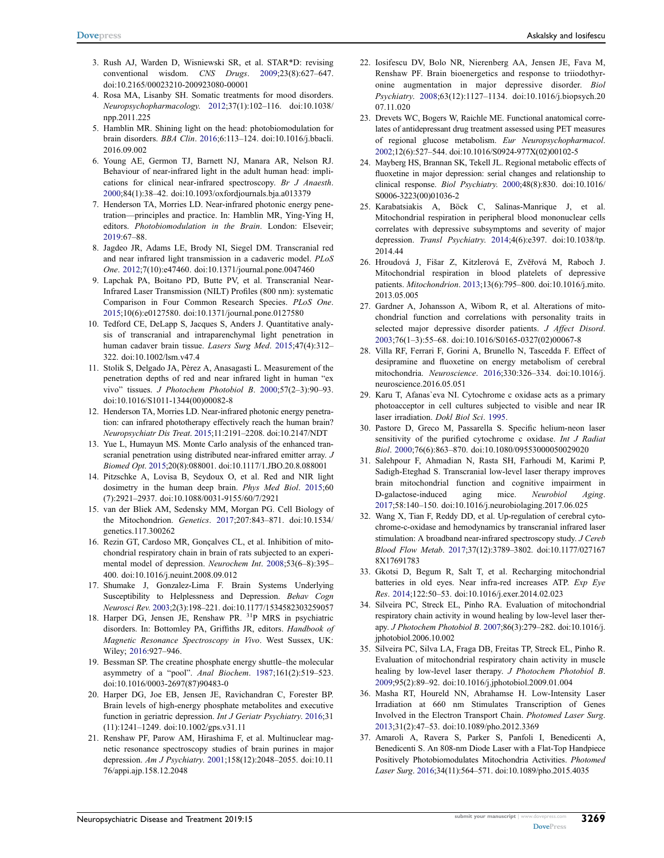- 3. Rush AJ, Warden D, Wisniewski SR, et al. STAR\*D: revising conventional wisdom. CNS Drugs. 2009;23(8):627–647. doi:10.2165/00023210-200923080-00001
- 4. Rosa MA, Lisanby SH. Somatic treatments for mood disorders. Neuropsychopharmacology. 2012;37(1):102–116. doi:10.1038/ npp.2011.225
- 5. Hamblin MR. Shining light on the head: photobiomodulation for brain disorders. BBA Clin. 2016;6:113–124. doi:10.1016/j.bbacli. 2016.09.002
- 6. Young AE, Germon TJ, Barnett NJ, Manara AR, Nelson RJ. Behaviour of near-infrared light in the adult human head: implications for clinical near-infrared spectroscopy. Br J Anaesth. 2000;84(1):38–42. doi:10.1093/oxfordjournals.bja.a013379
- 7. Henderson TA, Morries LD. Near-infrared photonic energy penetration—principles and practice. In: Hamblin MR, Ying-Ying H, editors. Photobiomodulation in the Brain. London: Elseveir; 2019:67–88.
- 8. Jagdeo JR, Adams LE, Brody NI, Siegel DM. Transcranial red and near infrared light transmission in a cadaveric model. PLoS One. 2012;7(10):e47460. doi:10.1371/journal.pone.0047460
- 9. Lapchak PA, Boitano PD, Butte PV, et al. Transcranial Near-Infrared Laser Transmission (NILT) Profiles (800 nm): systematic Comparison in Four Common Research Species. PLoS One. 2015;10(6):e0127580. doi:10.1371/journal.pone.0127580
- 10. Tedford CE, DeLapp S, Jacques S, Anders J. Quantitative analysis of transcranial and intraparenchymal light penetration in human cadaver brain tissue. Lasers Surg Med. 2015;47(4):312– 322. doi:10.1002/lsm.v47.4
- 11. Stolik S, Delgado JA, Pèrez A, Anasagasti L. Measurement of the penetration depths of red and near infrared light in human "ex vivo" tissues. J Photochem Photobiol B. 2000;57(2–3):90–93. doi:10.1016/S1011-1344(00)00082-8
- 12. Henderson TA, Morries LD. Near-infrared photonic energy penetration: can infrared phototherapy effectively reach the human brain? Neuropsychiatr Dis Treat. 2015;11:2191–2208. doi:10.2147/NDT
- 13. Yue L, Humayun MS. Monte Carlo analysis of the enhanced transcranial penetration using distributed near-infrared emitter array. J Biomed Opt. 2015;20(8):088001. doi:10.1117/1.JBO.20.8.088001
- 14. Pitzschke A, Lovisa B, Seydoux O, et al. Red and NIR light dosimetry in the human deep brain. Phys Med Biol. 2015;60 (7):2921–2937. doi:10.1088/0031-9155/60/7/2921
- 15. van der Bliek AM, Sedensky MM, Morgan PG. Cell Biology of the Mitochondrion. Genetics. 2017;207:843–871. doi:10.1534/ genetics.117.300262
- 16. Rezin GT, Cardoso MR, Gonçalves CL, et al. Inhibition of mitochondrial respiratory chain in brain of rats subjected to an experimental model of depression. Neurochem Int. 2008;53(6–8):395– 400. doi:10.1016/j.neuint.2008.09.012
- 17. Shumake J, Gonzalez-Lima F. Brain Systems Underlying Susceptibility to Helplessness and Depression. Behav Cogn Neurosci Rev. 2003;2(3):198–221. doi:10.1177/1534582303259057
- 18. Harper DG, Jensen JE, Renshaw PR. <sup>31</sup>P MRS in psychiatric disorders. In: Bottomley PA, Griffiths JR, editors. Handbook of Magnetic Resonance Spectroscopy in Vivo. West Sussex, UK: Wiley; 2016:927–946.
- 19. Bessman SP. The creatine phosphate energy shuttle–the molecular asymmetry of a "pool". Anal Biochem. 1987;161(2):519–523. doi:10.1016/0003-2697(87)90483-0
- 20. Harper DG, Joe EB, Jensen JE, Ravichandran C, Forester BP. Brain levels of high-energy phosphate metabolites and executive function in geriatric depression. Int J Geriatr Psychiatry. 2016;31 (11):1241–1249. doi:10.1002/gps.v31.11
- 21. Renshaw PF, Parow AM, Hirashima F, et al. Multinuclear magnetic resonance spectroscopy studies of brain purines in major depression. Am J Psychiatry. 2001;158(12):2048–2055. doi:10.11 76/appi.ajp.158.12.2048
- 22. Iosifescu DV, Bolo NR, Nierenberg AA, Jensen JE, Fava M, Renshaw PF. Brain bioenergetics and response to triiodothyronine augmentation in major depressive disorder. Biol Psychiatry. 2008;63(12):1127–1134. doi:10.1016/j.biopsych.20 07.11.020
- 23. Drevets WC, Bogers W, Raichle ME. Functional anatomical correlates of antidepressant drug treatment assessed using PET measures of regional glucose metabolism. Eur Neuropsychopharmacol. 2002;12(6):527–544. doi:10.1016/S0924-977X(02)00102-5
- 24. Mayberg HS, Brannan SK, Tekell JL. Regional metabolic effects of fluoxetine in major depression: serial changes and relationship to clinical response. Biol Psychiatry. 2000;48(8):830. doi:10.1016/ S0006-3223(00)01036-2
- 25. Karabatsiakis A, Böck C, Salinas-Manrique J, et al. Mitochondrial respiration in peripheral blood mononuclear cells correlates with depressive subsymptoms and severity of major depression. Transl Psychiatry. 2014;4(6):e397. doi:10.1038/tp. 2014.44
- 26. Hroudová J, Fišar Z, Kitzlerová E, Zvěřová M, Raboch J. Mitochondrial respiration in blood platelets of depressive patients. Mitochondrion. 2013;13(6):795–800. doi:10.1016/j.mito. 2013.05.005
- 27. Gardner A, Johansson A, Wibom R, et al. Alterations of mitochondrial function and correlations with personality traits in selected major depressive disorder patients. J Affect Disord. 2003;76(1–3):55–68. doi:10.1016/S0165-0327(02)00067-8
- 28. Villa RF, Ferrari F, Gorini A, Brunello N, Tascedda F. Effect of desipramine and fluoxetine on energy metabolism of cerebral mitochondria. Neuroscience. 2016;330:326–334. doi:10.1016/j. neuroscience.2016.05.051
- 29. Karu T, Afanas`eva NI. Cytochrome c oxidase acts as a primary photoacceptor in cell cultures subjected to visible and near IR laser irradiation. Dokl Biol Sci. 1995.
- 30. Pastore D, Greco M, Passarella S. Specific helium-neon laser sensitivity of the purified cytochrome c oxidase. Int J Radiat Biol. 2000;76(6):863–870. doi:10.1080/09553000050029020
- 31. Salehpour F, Ahmadian N, Rasta SH, Farhoudi M, Karimi P, Sadigh-Eteghad S. Transcranial low-level laser therapy improves brain mitochondrial function and cognitive impairment in D-galactose-induced aging mice. Neurobiol Aging. 2017;58:140–150. doi:10.1016/j.neurobiolaging.2017.06.025
- 32. Wang X, Tian F, Reddy DD, et al. Up-regulation of cerebral cytochrome-c-oxidase and hemodynamics by transcranial infrared laser stimulation: A broadband near-infrared spectroscopy study. J Cereb Blood Flow Metab. 2017;37(12):3789–3802. doi:10.1177/027167 8X17691783
- 33. Gkotsi D, Begum R, Salt T, et al. Recharging mitochondrial batteries in old eyes. Near infra-red increases ATP. Exp Eye Res. 2014;122:50–53. doi:10.1016/j.exer.2014.02.023
- 34. Silveira PC, Streck EL, Pinho RA. Evaluation of mitochondrial respiratory chain activity in wound healing by low-level laser therapy. J Photochem Photobiol B. 2007;86(3):279–282. doi:10.1016/j. jphotobiol.2006.10.002
- 35. Silveira PC, Silva LA, Fraga DB, Freitas TP, Streck EL, Pinho R. Evaluation of mitochondrial respiratory chain activity in muscle healing by low-level laser therapy. J Photochem Photobiol B. 2009;95(2):89–92. doi:10.1016/j.jphotobiol.2009.01.004
- 36. Masha RT, Houreld NN, Abrahamse H. Low-Intensity Laser Irradiation at 660 nm Stimulates Transcription of Genes Involved in the Electron Transport Chain. Photomed Laser Surg. 2013;31(2):47–53. doi:10.1089/pho.2012.3369
- 37. Amaroli A, Ravera S, Parker S, Panfoli I, Benedicenti A, Benedicenti S. An 808-nm Diode Laser with a Flat-Top Handpiece Positively Photobiomodulates Mitochondria Activities. Photomed Laser Surg. 2016;34(11):564–571. doi:10.1089/pho.2015.4035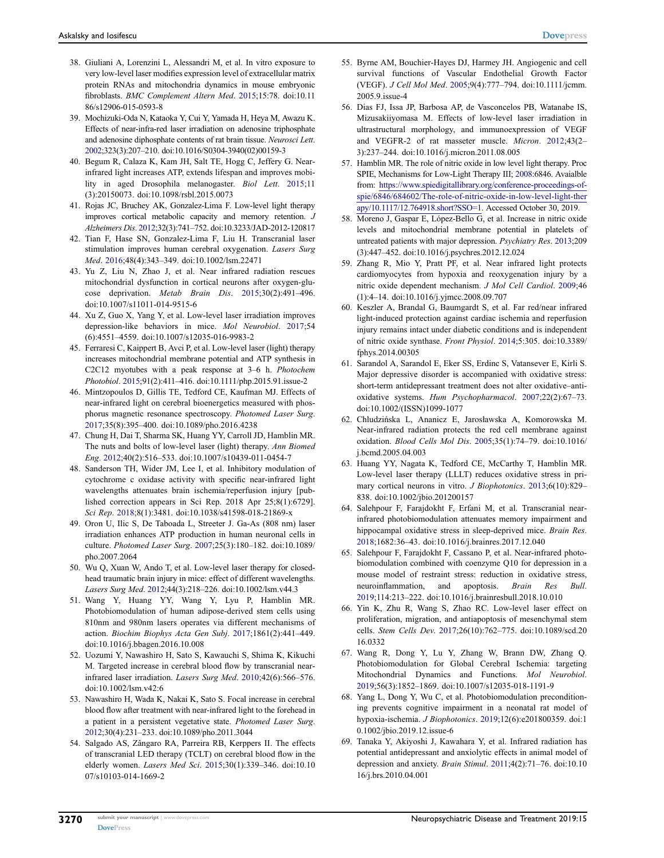- 38. Giuliani A, Lorenzini L, Alessandri M, et al. In vitro exposure to very low-level laser modifies expression level of extracellular matrix protein RNAs and mitochondria dynamics in mouse embryonic fibroblasts. BMC Complement Altern Med. 2015;15:78. doi:10.11 86/s12906-015-0593-8
- 39. Mochizuki-Oda N, Kataoka Y, Cui Y, Yamada H, Heya M, Awazu K. Effects of near-infra-red laser irradiation on adenosine triphosphate and adenosine diphosphate contents of rat brain tissue. Neurosci Lett. 2002;323(3):207–210. doi:10.1016/S0304-3940(02)00159-3
- 40. Begum R, Calaza K, Kam JH, Salt TE, Hogg C, Jeffery G. Nearinfrared light increases ATP, extends lifespan and improves mobility in aged Drosophila melanogaster. Biol Lett. 2015;11 (3):20150073. doi:10.1098/rsbl.2015.0073
- 41. Rojas JC, Bruchey AK, Gonzalez-Lima F. Low-level light therapy improves cortical metabolic capacity and memory retention. J Alzheimers Dis. 2012;32(3):741–752. doi:10.3233/JAD-2012-120817
- 42. Tian F, Hase SN, Gonzalez-Lima F, Liu H. Transcranial laser stimulation improves human cerebral oxygenation. Lasers Surg Med. 2016;48(4):343–349. doi:10.1002/lsm.22471
- 43. Yu Z, Liu N, Zhao J, et al. Near infrared radiation rescues mitochondrial dysfunction in cortical neurons after oxygen-glucose deprivation. Metab Brain Dis. 2015;30(2):491–496. doi:10.1007/s11011-014-9515-6
- 44. Xu Z, Guo X, Yang Y, et al. Low-level laser irradiation improves depression-like behaviors in mice. Mol Neurobiol. 2017;54 (6):4551–4559. doi:10.1007/s12035-016-9983-2
- 45. Ferraresi C, Kaippert B, Avci P, et al. Low-level laser (light) therapy increases mitochondrial membrane potential and ATP synthesis in C2C12 myotubes with a peak response at 3–6 h. Photochem Photobiol. 2015;91(2):411–416. doi:10.1111/php.2015.91.issue-2
- 46. Mintzopoulos D, Gillis TE, Tedford CE, Kaufman MJ. Effects of near-infrared light on cerebral bioenergetics measured with phosphorus magnetic resonance spectroscopy. Photomed Laser Surg. 2017;35(8):395–400. doi:10.1089/pho.2016.4238
- 47. Chung H, Dai T, Sharma SK, Huang YY, Carroll JD, Hamblin MR. The nuts and bolts of low-level laser (light) therapy. Ann Biomed Eng. 2012;40(2):516–533. doi:10.1007/s10439-011-0454-7
- 48. Sanderson TH, Wider JM, Lee I, et al. Inhibitory modulation of cytochrome c oxidase activity with specific near-infrared light wavelengths attenuates brain ischemia/reperfusion injury [published correction appears in Sci Rep. 2018 Apr 25;8(1):6729]. Sci Rep. 2018;8(1):3481. doi:10.1038/s41598-018-21869-x
- 49. Oron U, Ilic S, De Taboada L, Streeter J. Ga-As (808 nm) laser irradiation enhances ATP production in human neuronal cells in culture. Photomed Laser Surg. 2007;25(3):180–182. doi:10.1089/ pho.2007.2064
- 50. Wu Q, Xuan W, Ando T, et al. Low-level laser therapy for closedhead traumatic brain injury in mice: effect of different wavelengths. Lasers Surg Med. 2012;44(3):218–226. doi:10.1002/lsm.v44.3
- 51. Wang Y, Huang YY, Wang Y, Lyu P, Hamblin MR. Photobiomodulation of human adipose-derived stem cells using 810nm and 980nm lasers operates via different mechanisms of action. Biochim Biophys Acta Gen Subj. 2017;1861(2):441–449. doi:10.1016/j.bbagen.2016.10.008
- 52. Uozumi Y, Nawashiro H, Sato S, Kawauchi S, Shima K, Kikuchi M. Targeted increase in cerebral blood flow by transcranial nearinfrared laser irradiation. Lasers Surg Med. 2010;42(6):566–576. doi:10.1002/lsm.v42:6
- 53. Nawashiro H, Wada K, Nakai K, Sato S. Focal increase in cerebral blood flow after treatment with near-infrared light to the forehead in a patient in a persistent vegetative state. Photomed Laser Surg. 2012;30(4):231–233. doi:10.1089/pho.2011.3044
- 54. Salgado AS, Zângaro RA, Parreira RB, Kerppers II. The effects of transcranial LED therapy (TCLT) on cerebral blood flow in the elderly women. Lasers Med Sci. 2015;30(1):339–346. doi:10.10 07/s10103-014-1669-2
- 55. Byrne AM, Bouchier-Hayes DJ, Harmey JH. Angiogenic and cell survival functions of Vascular Endothelial Growth Factor (VEGF). J Cell Mol Med. 2005;9(4):777–794. doi:10.1111/jcmm. 2005.9.issue-4
- 56. Dias FJ, Issa JP, Barbosa AP, de Vasconcelos PB, Watanabe IS, Mizusakiiyomasa M. Effects of low-level laser irradiation in ultrastructural morphology, and immunoexpression of VEGF and VEGFR-2 of rat masseter muscle. Micron. 2012;43(2– 3):237–244. doi:10.1016/j.micron.2011.08.005
- 57. Hamblin MR. The role of nitric oxide in low level light therapy. Proc SPIE, Mechanisms for Low-Light Therapy III; 2008:6846. Avaialble from: https://www.spiedigitallibrary.org/conference-proceedings-ofspie/6846/684602/The-role-of-nitric-oxide-in-low-level-light-ther apy/10.1117/12.764918.short?SSO=1. Accessed October 30, 2019.
- 58. Moreno J, Gaspar E, López-Bello G, et al. Increase in nitric oxide levels and mitochondrial membrane potential in platelets of untreated patients with major depression. Psychiatry Res. 2013;209 (3):447–452. doi:10.1016/j.psychres.2012.12.024
- 59. Zhang R, Mio Y, Pratt PF, et al. Near infrared light protects cardiomyocytes from hypoxia and reoxygenation injury by a nitric oxide dependent mechanism. J Mol Cell Cardiol. 2009;46 (1):4–14. doi:10.1016/j.yjmcc.2008.09.707
- 60. Keszler A, Brandal G, Baumgardt S, et al. Far red/near infrared light-induced protection against cardiac ischemia and reperfusion injury remains intact under diabetic conditions and is independent of nitric oxide synthase. Front Physiol. 2014;5:305. doi:10.3389/ fphys.2014.00305
- 61. Sarandol A, Sarandol E, Eker SS, Erdinc S, Vatansever E, Kirli S. Major depressive disorder is accompanied with oxidative stress: short-term antidepressant treatment does not alter oxidative–antioxidative systems. Hum Psychopharmacol. 2007;22(2):67–73. doi:10.1002/(ISSN)1099-1077
- 62. Chludzińska L, Ananicz E, Jarosławska A, Komorowska M. Near-infrared radiation protects the red cell membrane against oxidation. Blood Cells Mol Dis. 2005;35(1):74–79. doi:10.1016/ j.bcmd.2005.04.003
- 63. Huang YY, Nagata K, Tedford CE, McCarthy T, Hamblin MR. Low-level laser therapy (LLLT) reduces oxidative stress in primary cortical neurons in vitro. *J Biophotonics*. 2013;6(10):829– 838. doi:10.1002/jbio.201200157
- 64. Salehpour F, Farajdokht F, Erfani M, et al. Transcranial nearinfrared photobiomodulation attenuates memory impairment and hippocampal oxidative stress in sleep-deprived mice. Brain Res. 2018;1682:36–43. doi:10.1016/j.brainres.2017.12.040
- 65. Salehpour F, Farajdokht F, Cassano P, et al. Near-infrared photobiomodulation combined with coenzyme Q10 for depression in a mouse model of restraint stress: reduction in oxidative stress, neuroinflammation, and apoptosis. Brain Res Bull. 2019;114:213–222. doi:10.1016/j.brainresbull.2018.10.010
- 66. Yin K, Zhu R, Wang S, Zhao RC. Low-level laser effect on proliferation, migration, and antiapoptosis of mesenchymal stem cells. Stem Cells Dev. 2017;26(10):762–775. doi:10.1089/scd.20 16.0332
- 67. Wang R, Dong Y, Lu Y, Zhang W, Brann DW, Zhang Q. Photobiomodulation for Global Cerebral Ischemia: targeting Mitochondrial Dynamics and Functions. Mol Neurobiol. 2019;56(3):1852–1869. doi:10.1007/s12035-018-1191-9
- 68. Yang L, Dong Y, Wu C, et al. Photobiomodulation preconditioning prevents cognitive impairment in a neonatal rat model of hypoxia-ischemia. J Biophotonics. 2019;12(6):e201800359. doi:1 0.1002/jbio.2019.12.issue-6
- 69. Tanaka Y, Akiyoshi J, Kawahara Y, et al. Infrared radiation has potential antidepressant and anxiolytic effects in animal model of depression and anxiety. Brain Stimul. 2011;4(2):71–76. doi:10.10 16/j.brs.2010.04.001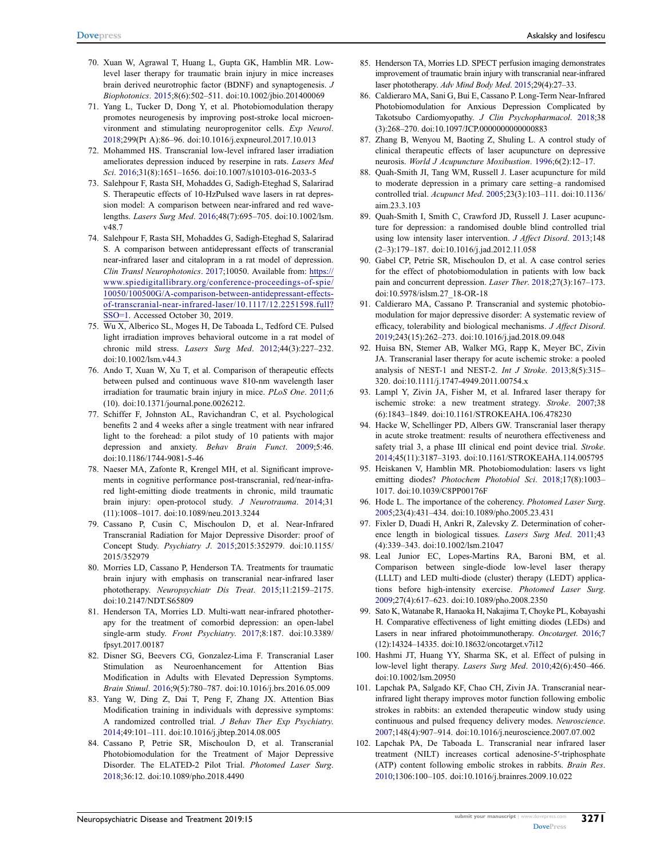- 70. Xuan W, Agrawal T, Huang L, Gupta GK, Hamblin MR. Lowlevel laser therapy for traumatic brain injury in mice increases brain derived neurotrophic factor (BDNF) and synaptogenesis. J Biophotonics. 2015;8(6):502–511. doi:10.1002/jbio.201400069
- 71. Yang L, Tucker D, Dong Y, et al. Photobiomodulation therapy promotes neurogenesis by improving post-stroke local microenvironment and stimulating neuroprogenitor cells. Exp Neurol. 2018;299(Pt A):86–96. doi:10.1016/j.expneurol.2017.10.013
- 72. Mohammed HS. Transcranial low-level infrared laser irradiation ameliorates depression induced by reserpine in rats. Lasers Med Sci. 2016;31(8):1651–1656. doi:10.1007/s10103-016-2033-5
- 73. Salehpour F, Rasta SH, Mohaddes G, Sadigh-Eteghad S, Salarirad S. Therapeutic effects of 10-HzPulsed wave lasers in rat depression model: A comparison between near-infrared and red wavelengths. Lasers Surg Med. 2016;48(7):695–705. doi:10.1002/lsm. v48.7
- 74. Salehpour F, Rasta SH, Mohaddes G, Sadigh-Eteghad S, Salarirad S. A comparison between antidepressant effects of transcranial near-infrared laser and citalopram in a rat model of depression. Clin Transl Neurophotonics. 2017;10050. Available from: https:// www.spiedigitallibrary.org/conference-proceedings-of-spie/ 10050/100500G/A-comparison-between-antidepressant-effectsof-transcranial-near-infrared-laser/10.1117/12.2251598.full? SSO=1. Accessed October 30, 2019.
- 75. Wu X, Alberico SL, Moges H, De Taboada L, Tedford CE. Pulsed light irradiation improves behavioral outcome in a rat model of chronic mild stress. Lasers Surg Med. 2012;44(3):227–232. doi:10.1002/lsm.v44.3
- 76. Ando T, Xuan W, Xu T, et al. Comparison of therapeutic effects between pulsed and continuous wave 810-nm wavelength laser irradiation for traumatic brain injury in mice. PLoS One. 2011;6 (10). doi:10.1371/journal.pone.0026212.
- 77. Schiffer F, Johnston AL, Ravichandran C, et al. Psychological benefits 2 and 4 weeks after a single treatment with near infrared light to the forehead: a pilot study of 10 patients with major depression and anxiety. Behav Brain Funct. 2009;5:46. doi:10.1186/1744-9081-5-46
- 78. Naeser MA, Zafonte R, Krengel MH, et al. Significant improvements in cognitive performance post-transcranial, red/near-infrared light-emitting diode treatments in chronic, mild traumatic brain injury: open-protocol study. J Neurotrauma. 2014;31 (11):1008–1017. doi:10.1089/neu.2013.3244
- 79. Cassano P, Cusin C, Mischoulon D, et al. Near-Infrared Transcranial Radiation for Major Depressive Disorder: proof of Concept Study. Psychiatry J. 2015;2015:352979. doi:10.1155/ 2015/352979
- 80. Morries LD, Cassano P, Henderson TA. Treatments for traumatic brain injury with emphasis on transcranial near-infrared laser phototherapy. Neuropsychiatr Dis Treat. 2015;11:2159–2175. doi:10.2147/NDT.S65809
- 81. Henderson TA, Morries LD. Multi-watt near-infrared phototherapy for the treatment of comorbid depression: an open-label single-arm study. Front Psychiatry. 2017;8:187. doi:10.3389/ fpsyt.2017.00187
- 82. Disner SG, Beevers CG, Gonzalez-Lima F. Transcranial Laser Stimulation as Neuroenhancement for Attention Bias Modification in Adults with Elevated Depression Symptoms. Brain Stimul. 2016;9(5):780–787. doi:10.1016/j.brs.2016.05.009
- 83. Yang W, Ding Z, Dai T, Peng F, Zhang JX. Attention Bias Modification training in individuals with depressive symptoms: A randomized controlled trial. J Behav Ther Exp Psychiatry. 2014;49:101–111. doi:10.1016/j.jbtep.2014.08.005
- 84. Cassano P, Petrie SR, Mischoulon D, et al. Transcranial Photobiomodulation for the Treatment of Major Depressive Disorder. The ELATED-2 Pilot Trial. Photomed Laser Surg. 2018;36:12. doi:10.1089/pho.2018.4490
- 85. Henderson TA, Morries LD. SPECT perfusion imaging demonstrates improvement of traumatic brain injury with transcranial near-infrared laser phototherapy. Adv Mind Body Med. 2015;29(4):27-33.
- 86. Caldieraro MA, Sani G, Bui E, Cassano P. Long-Term Near-Infrared Photobiomodulation for Anxious Depression Complicated by Takotsubo Cardiomyopathy. J Clin Psychopharmacol. 2018;38 (3):268–270. doi:10.1097/JCP.0000000000000883
- 87. Zhang B, Wenyou M, Baoting Z, Shuling L. A control study of clinical therapeutic effects of laser acupuncture on depressive neurosis. World J Acupuncture Moxibustion. 1996;6(2):12–17.
- 88. Quah-Smith JI, Tang WM, Russell J. Laser acupuncture for mild to moderate depression in a primary care setting–a randomised controlled trial. Acupunct Med. 2005;23(3):103–111. doi:10.1136/ aim.23.3.103
- 89. Quah-Smith I, Smith C, Crawford JD, Russell J. Laser acupuncture for depression: a randomised double blind controlled trial using low intensity laser intervention. J Affect Disord. 2013;148 (2–3):179–187. doi:10.1016/j.jad.2012.11.058
- 90. Gabel CP, Petrie SR, Mischoulon D, et al. A case control series for the effect of photobiomodulation in patients with low back pain and concurrent depression. Laser Ther. 2018;27(3):167–173. doi:10.5978/islsm.27\_18-OR-18
- 91. Caldieraro MA, Cassano P. Transcranial and systemic photobiomodulation for major depressive disorder: A systematic review of efficacy, tolerability and biological mechanisms. J Affect Disord. 2019;243(15):262–273. doi:10.1016/j.jad.2018.09.048
- 92. Huisa BN, Stemer AB, Walker MG, Rapp K, Meyer BC, Zivin JA. Transcranial laser therapy for acute ischemic stroke: a pooled analysis of NEST-1 and NEST-2. Int J Stroke. 2013;8(5):315– 320. doi:10.1111/j.1747-4949.2011.00754.x
- 93. Lampl Y, Zivin JA, Fisher M, et al. Infrared laser therapy for ischemic stroke: a new treatment strategy. Stroke. 2007;38 (6):1843–1849. doi:10.1161/STROKEAHA.106.478230
- 94. Hacke W, Schellinger PD, Albers GW. Transcranial laser therapy in acute stroke treatment: results of neurothera effectiveness and safety trial 3, a phase III clinical end point device trial. Stroke. 2014;45(11):3187–3193. doi:10.1161/STROKEAHA.114.005795
- 95. Heiskanen V, Hamblin MR. Photobiomodulation: lasers vs light emitting diodes? Photochem Photobiol Sci. 2018;17(8):1003– 1017. doi:10.1039/C8PP00176F
- 96. Hode L. The importance of the coherency. Photomed Laser Surg. 2005;23(4):431–434. doi:10.1089/pho.2005.23.431
- 97. Fixler D, Duadi H, Ankri R, Zalevsky Z. Determination of coherence length in biological tissues. Lasers Surg Med. 2011;43 (4):339–343. doi:10.1002/lsm.21047
- 98. Leal Junior EC, Lopes-Martins RA, Baroni BM, et al. Comparison between single-diode low-level laser therapy (LLLT) and LED multi-diode (cluster) therapy (LEDT) applications before high-intensity exercise. Photomed Laser Surg. 2009;27(4):617–623. doi:10.1089/pho.2008.2350
- 99. Sato K, Watanabe R, Hanaoka H, Nakajima T, Choyke PL, Kobayashi H. Comparative effectiveness of light emitting diodes (LEDs) and Lasers in near infrared photoimmunotherapy. Oncotarget. 2016;7 (12):14324–14335. doi:10.18632/oncotarget.v7i12
- 100. Hashmi JT, Huang YY, Sharma SK, et al. Effect of pulsing in low-level light therapy. Lasers Surg Med. 2010;42(6):450–466. doi:10.1002/lsm.20950
- 101. Lapchak PA, Salgado KF, Chao CH, Zivin JA. Transcranial nearinfrared light therapy improves motor function following embolic strokes in rabbits: an extended therapeutic window study using continuous and pulsed frequency delivery modes. Neuroscience. 2007;148(4):907–914. doi:10.1016/j.neuroscience.2007.07.002
- 102. Lapchak PA, De Taboada L. Transcranial near infrared laser treatment (NILT) increases cortical adenosine-5ʹ-triphosphate (ATP) content following embolic strokes in rabbits. Brain Res. 2010;1306:100–105. doi:10.1016/j.brainres.2009.10.022